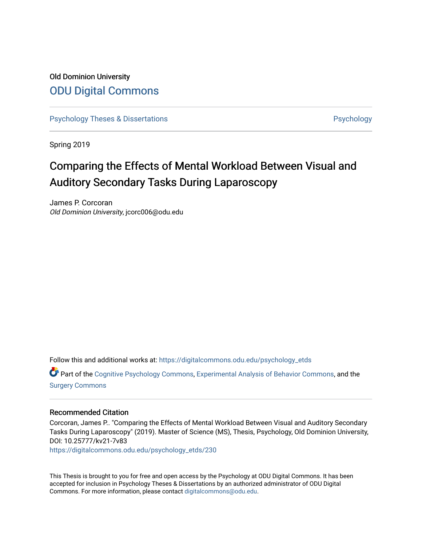# Old Dominion University [ODU Digital Commons](https://digitalcommons.odu.edu/)

[Psychology Theses & Dissertations](https://digitalcommons.odu.edu/psychology_etds) **Psychology** Psychology

Spring 2019

# Comparing the Effects of Mental Workload Between Visual and Auditory Secondary Tasks During Laparoscopy

James P. Corcoran Old Dominion University, jcorc006@odu.edu

Follow this and additional works at: [https://digitalcommons.odu.edu/psychology\\_etds](https://digitalcommons.odu.edu/psychology_etds?utm_source=digitalcommons.odu.edu%2Fpsychology_etds%2F230&utm_medium=PDF&utm_campaign=PDFCoverPages)

Part of the [Cognitive Psychology Commons,](http://network.bepress.com/hgg/discipline/408?utm_source=digitalcommons.odu.edu%2Fpsychology_etds%2F230&utm_medium=PDF&utm_campaign=PDFCoverPages) [Experimental Analysis of Behavior Commons,](http://network.bepress.com/hgg/discipline/1236?utm_source=digitalcommons.odu.edu%2Fpsychology_etds%2F230&utm_medium=PDF&utm_campaign=PDFCoverPages) and the [Surgery Commons](http://network.bepress.com/hgg/discipline/706?utm_source=digitalcommons.odu.edu%2Fpsychology_etds%2F230&utm_medium=PDF&utm_campaign=PDFCoverPages)

#### Recommended Citation

Corcoran, James P.. "Comparing the Effects of Mental Workload Between Visual and Auditory Secondary Tasks During Laparoscopy" (2019). Master of Science (MS), Thesis, Psychology, Old Dominion University, DOI: 10.25777/kv21-7v83

[https://digitalcommons.odu.edu/psychology\\_etds/230](https://digitalcommons.odu.edu/psychology_etds/230?utm_source=digitalcommons.odu.edu%2Fpsychology_etds%2F230&utm_medium=PDF&utm_campaign=PDFCoverPages)

This Thesis is brought to you for free and open access by the Psychology at ODU Digital Commons. It has been accepted for inclusion in Psychology Theses & Dissertations by an authorized administrator of ODU Digital Commons. For more information, please contact [digitalcommons@odu.edu](mailto:digitalcommons@odu.edu).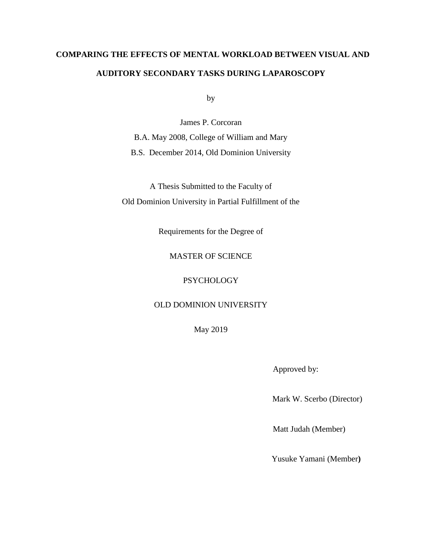# **COMPARING THE EFFECTS OF MENTAL WORKLOAD BETWEEN VISUAL AND AUDITORY SECONDARY TASKS DURING LAPAROSCOPY**

by

James P. Corcoran B.A. May 2008, College of William and Mary B.S. December 2014, Old Dominion University

A Thesis Submitted to the Faculty of Old Dominion University in Partial Fulfillment of the

Requirements for the Degree of

#### MASTER OF SCIENCE

#### **PSYCHOLOGY**

#### OLD DOMINION UNIVERSITY

May 2019

Approved by:

Mark W. Scerbo (Director)

Matt Judah (Member)

Yusuke Yamani (Member**)**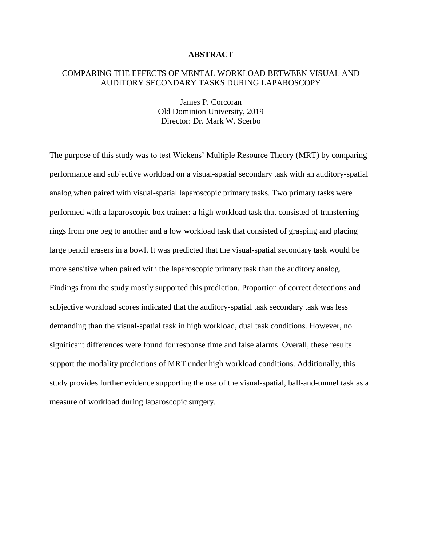#### **ABSTRACT**

#### COMPARING THE EFFECTS OF MENTAL WORKLOAD BETWEEN VISUAL AND AUDITORY SECONDARY TASKS DURING LAPAROSCOPY

James P. Corcoran Old Dominion University, 2019 Director: Dr. Mark W. Scerbo

The purpose of this study was to test Wickens' Multiple Resource Theory (MRT) by comparing performance and subjective workload on a visual-spatial secondary task with an auditory-spatial analog when paired with visual-spatial laparoscopic primary tasks. Two primary tasks were performed with a laparoscopic box trainer: a high workload task that consisted of transferring rings from one peg to another and a low workload task that consisted of grasping and placing large pencil erasers in a bowl. It was predicted that the visual-spatial secondary task would be more sensitive when paired with the laparoscopic primary task than the auditory analog. Findings from the study mostly supported this prediction. Proportion of correct detections and subjective workload scores indicated that the auditory-spatial task secondary task was less demanding than the visual-spatial task in high workload, dual task conditions. However, no significant differences were found for response time and false alarms. Overall, these results support the modality predictions of MRT under high workload conditions. Additionally, this study provides further evidence supporting the use of the visual-spatial, ball-and-tunnel task as a measure of workload during laparoscopic surgery.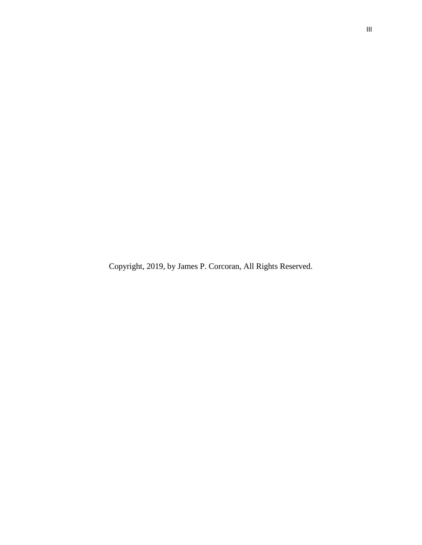Copyright, 2019, by James P. Corcoran, All Rights Reserved.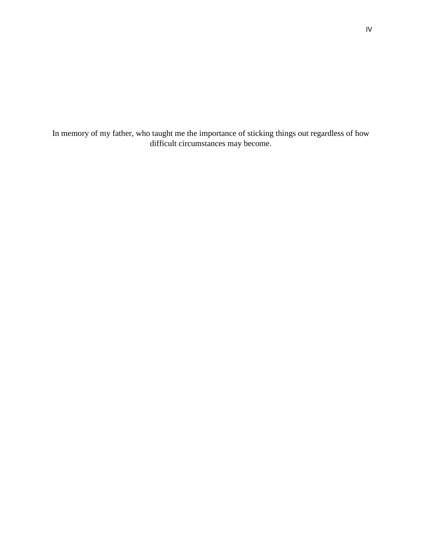In memory of my father, who taught me the importance of sticking things out regardless of how difficult circumstances may become.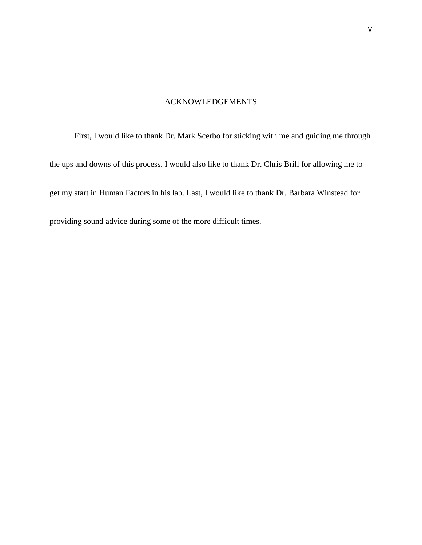#### ACKNOWLEDGEMENTS

First, I would like to thank Dr. Mark Scerbo for sticking with me and guiding me through the ups and downs of this process. I would also like to thank Dr. Chris Brill for allowing me to get my start in Human Factors in his lab. Last, I would like to thank Dr. Barbara Winstead for providing sound advice during some of the more difficult times.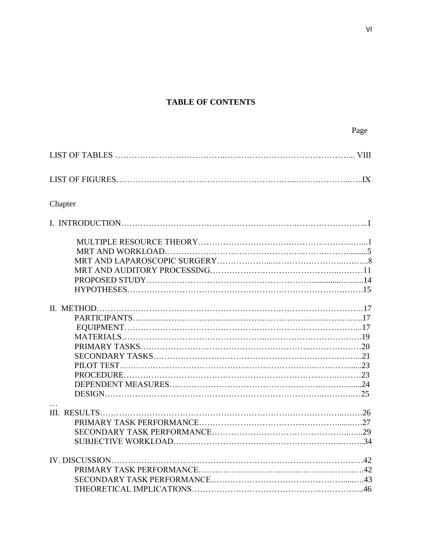## **TABLE OF CONTENTS**

| Page |
|------|
|      |

| Chapter |
|---------|
|         |
|         |
|         |
|         |
|         |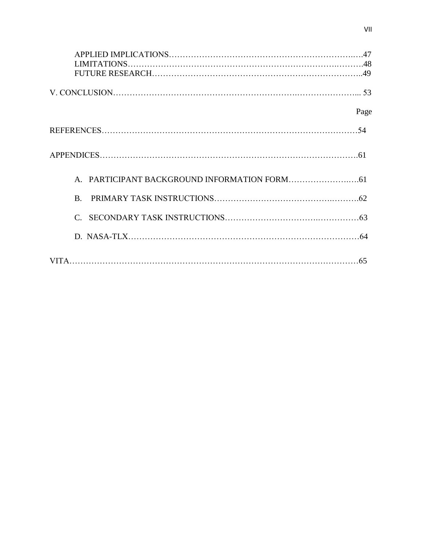| Page                  |
|-----------------------|
|                       |
|                       |
|                       |
| $\mathbf{B}$          |
| $\mathcal{C}_{\cdot}$ |
|                       |
|                       |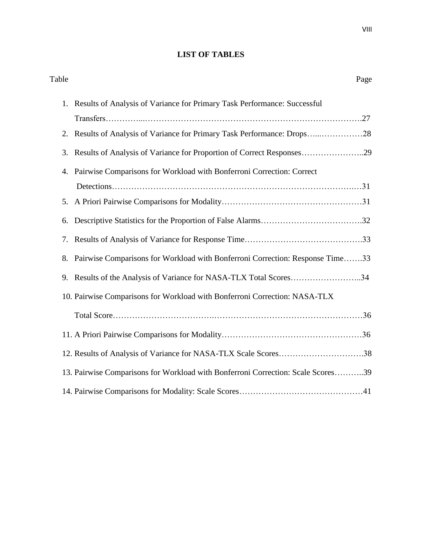## **LIST OF TABLES**

| Table | Page                                                                             |
|-------|----------------------------------------------------------------------------------|
|       | 1. Results of Analysis of Variance for Primary Task Performance: Successful      |
|       |                                                                                  |
|       | 2. Results of Analysis of Variance for Primary Task Performance: Drops28         |
| 3.    | Results of Analysis of Variance for Proportion of Correct Responses29            |
| 4.    | Pairwise Comparisons for Workload with Bonferroni Correction: Correct            |
|       |                                                                                  |
| 5.    |                                                                                  |
| 6.    |                                                                                  |
| 7.    |                                                                                  |
| 8.    | Pairwise Comparisons for Workload with Bonferroni Correction: Response Time33    |
| 9.    | Results of the Analysis of Variance for NASA-TLX Total Scores34                  |
|       | 10. Pairwise Comparisons for Workload with Bonferroni Correction: NASA-TLX       |
|       |                                                                                  |
|       |                                                                                  |
|       | 12. Results of Analysis of Variance for NASA-TLX Scale Scores38                  |
|       | 13. Pairwise Comparisons for Workload with Bonferroni Correction: Scale Scores39 |
|       |                                                                                  |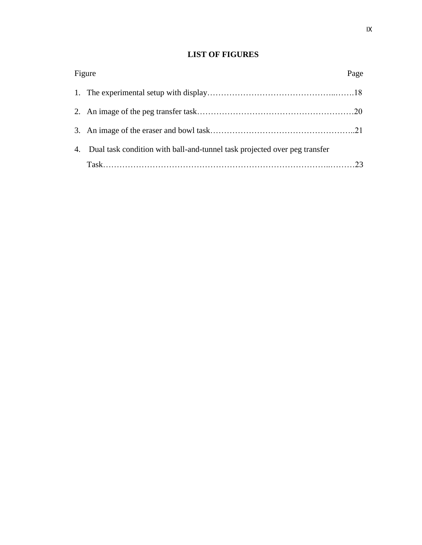## **LIST OF FIGURES**

| Figure                                                                       | Page |
|------------------------------------------------------------------------------|------|
|                                                                              |      |
|                                                                              |      |
|                                                                              |      |
| 4. Dual task condition with ball-and-tunnel task projected over peg transfer |      |
|                                                                              |      |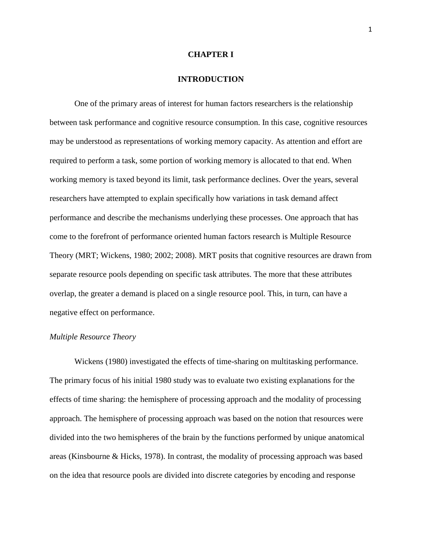#### **CHAPTER I**

#### **INTRODUCTION**

One of the primary areas of interest for human factors researchers is the relationship between task performance and cognitive resource consumption. In this case, cognitive resources may be understood as representations of working memory capacity. As attention and effort are required to perform a task, some portion of working memory is allocated to that end. When working memory is taxed beyond its limit, task performance declines. Over the years, several researchers have attempted to explain specifically how variations in task demand affect performance and describe the mechanisms underlying these processes. One approach that has come to the forefront of performance oriented human factors research is Multiple Resource Theory (MRT; Wickens, 1980; 2002; 2008). MRT posits that cognitive resources are drawn from separate resource pools depending on specific task attributes. The more that these attributes overlap, the greater a demand is placed on a single resource pool. This, in turn, can have a negative effect on performance.

#### *Multiple Resource Theory*

Wickens (1980) investigated the effects of time-sharing on multitasking performance. The primary focus of his initial 1980 study was to evaluate two existing explanations for the effects of time sharing: the hemisphere of processing approach and the modality of processing approach. The hemisphere of processing approach was based on the notion that resources were divided into the two hemispheres of the brain by the functions performed by unique anatomical areas (Kinsbourne & Hicks, 1978). In contrast, the modality of processing approach was based on the idea that resource pools are divided into discrete categories by encoding and response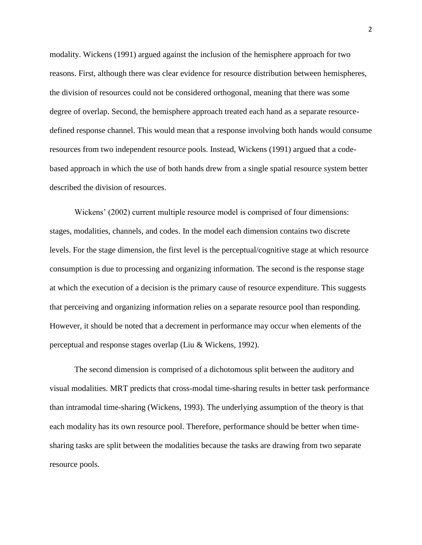modality. Wickens (1991) argued against the inclusion of the hemisphere approach for two reasons. First, although there was clear evidence for resource distribution between hemispheres, the division of resources could not be considered orthogonal, meaning that there was some degree of overlap. Second, the hemisphere approach treated each hand as a separate resourcedefined response channel. This would mean that a response involving both hands would consume resources from two independent resource pools. Instead, Wickens (1991) argued that a codebased approach in which the use of both hands drew from a single spatial resource system better described the division of resources.

Wickens' (2002) current multiple resource model is comprised of four dimensions: stages, modalities, channels, and codes. In the model each dimension contains two discrete levels. For the stage dimension, the first level is the perceptual/cognitive stage at which resource consumption is due to processing and organizing information. The second is the response stage at which the execution of a decision is the primary cause of resource expenditure. This suggests that perceiving and organizing information relies on a separate resource pool than responding. However, it should be noted that a decrement in performance may occur when elements of the perceptual and response stages overlap (Liu & Wickens, 1992).

The second dimension is comprised of a dichotomous split between the auditory and visual modalities. MRT predicts that cross-modal time-sharing results in better task performance than intramodal time-sharing (Wickens, 1993). The underlying assumption of the theory is that each modality has its own resource pool. Therefore, performance should be better when timesharing tasks are split between the modalities because the tasks are drawing from two separate resource pools.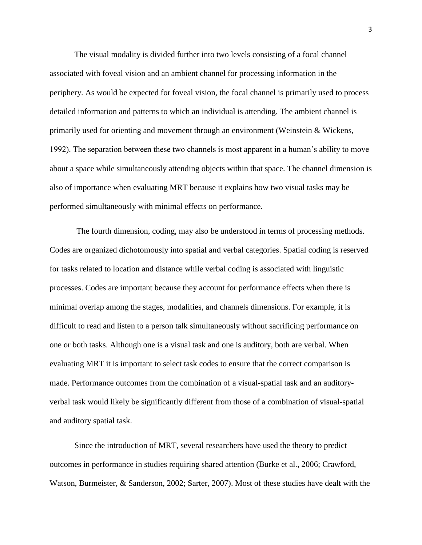The visual modality is divided further into two levels consisting of a focal channel associated with foveal vision and an ambient channel for processing information in the periphery. As would be expected for foveal vision, the focal channel is primarily used to process detailed information and patterns to which an individual is attending. The ambient channel is primarily used for orienting and movement through an environment (Weinstein & Wickens, 1992). The separation between these two channels is most apparent in a human's ability to move about a space while simultaneously attending objects within that space. The channel dimension is also of importance when evaluating MRT because it explains how two visual tasks may be performed simultaneously with minimal effects on performance.

The fourth dimension, coding, may also be understood in terms of processing methods. Codes are organized dichotomously into spatial and verbal categories. Spatial coding is reserved for tasks related to location and distance while verbal coding is associated with linguistic processes. Codes are important because they account for performance effects when there is minimal overlap among the stages, modalities, and channels dimensions. For example, it is difficult to read and listen to a person talk simultaneously without sacrificing performance on one or both tasks. Although one is a visual task and one is auditory, both are verbal. When evaluating MRT it is important to select task codes to ensure that the correct comparison is made. Performance outcomes from the combination of a visual-spatial task and an auditoryverbal task would likely be significantly different from those of a combination of visual-spatial and auditory spatial task.

Since the introduction of MRT, several researchers have used the theory to predict outcomes in performance in studies requiring shared attention (Burke et al., 2006; Crawford, Watson, Burmeister, & Sanderson, 2002; Sarter, 2007). Most of these studies have dealt with the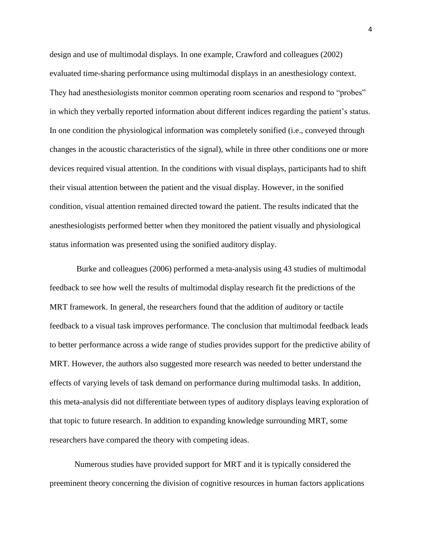design and use of multimodal displays. In one example, Crawford and colleagues (2002) evaluated time-sharing performance using multimodal displays in an anesthesiology context. They had anesthesiologists monitor common operating room scenarios and respond to "probes" in which they verbally reported information about different indices regarding the patient's status. In one condition the physiological information was completely sonified (i.e., conveyed through changes in the acoustic characteristics of the signal), while in three other conditions one or more devices required visual attention. In the conditions with visual displays, participants had to shift their visual attention between the patient and the visual display. However, in the sonified condition, visual attention remained directed toward the patient. The results indicated that the anesthesiologists performed better when they monitored the patient visually and physiological status information was presented using the sonified auditory display.

Burke and colleagues (2006) performed a meta-analysis using 43 studies of multimodal feedback to see how well the results of multimodal display research fit the predictions of the MRT framework. In general, the researchers found that the addition of auditory or tactile feedback to a visual task improves performance. The conclusion that multimodal feedback leads to better performance across a wide range of studies provides support for the predictive ability of MRT. However, the authors also suggested more research was needed to better understand the effects of varying levels of task demand on performance during multimodal tasks. In addition, this meta-analysis did not differentiate between types of auditory displays leaving exploration of that topic to future research. In addition to expanding knowledge surrounding MRT, some researchers have compared the theory with competing ideas.

Numerous studies have provided support for MRT and it is typically considered the preeminent theory concerning the division of cognitive resources in human factors applications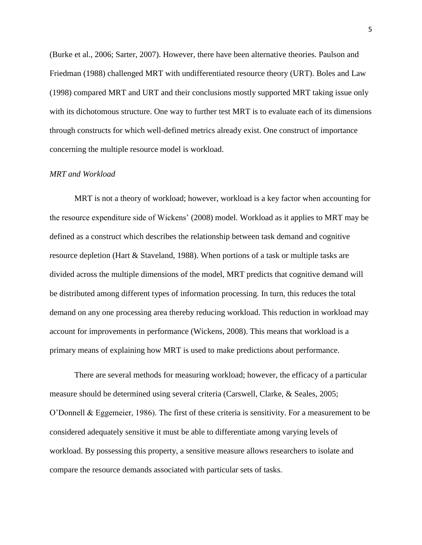(Burke et al., 2006; Sarter, 2007). However, there have been alternative theories. Paulson and Friedman (1988) challenged MRT with undifferentiated resource theory (URT). Boles and Law (1998) compared MRT and URT and their conclusions mostly supported MRT taking issue only with its dichotomous structure. One way to further test MRT is to evaluate each of its dimensions through constructs for which well-defined metrics already exist. One construct of importance concerning the multiple resource model is workload.

#### *MRT and Workload*

MRT is not a theory of workload; however, workload is a key factor when accounting for the resource expenditure side of Wickens' (2008) model*.* Workload as it applies to MRT may be defined as a construct which describes the relationship between task demand and cognitive resource depletion (Hart & Staveland, 1988). When portions of a task or multiple tasks are divided across the multiple dimensions of the model, MRT predicts that cognitive demand will be distributed among different types of information processing. In turn, this reduces the total demand on any one processing area thereby reducing workload. This reduction in workload may account for improvements in performance (Wickens, 2008). This means that workload is a primary means of explaining how MRT is used to make predictions about performance.

There are several methods for measuring workload; however, the efficacy of a particular measure should be determined using several criteria (Carswell, Clarke, & Seales, 2005; O'Donnell & Eggemeier, 1986). The first of these criteria is sensitivity. For a measurement to be considered adequately sensitive it must be able to differentiate among varying levels of workload. By possessing this property, a sensitive measure allows researchers to isolate and compare the resource demands associated with particular sets of tasks.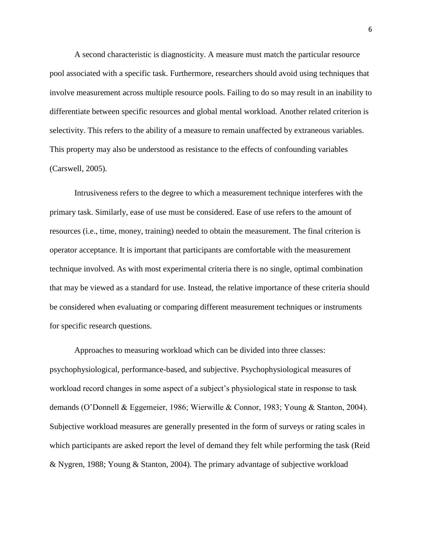A second characteristic is diagnosticity. A measure must match the particular resource pool associated with a specific task. Furthermore, researchers should avoid using techniques that involve measurement across multiple resource pools. Failing to do so may result in an inability to differentiate between specific resources and global mental workload. Another related criterion is selectivity. This refers to the ability of a measure to remain unaffected by extraneous variables. This property may also be understood as resistance to the effects of confounding variables (Carswell, 2005).

Intrusiveness refers to the degree to which a measurement technique interferes with the primary task. Similarly, ease of use must be considered. Ease of use refers to the amount of resources (i.e., time, money, training) needed to obtain the measurement. The final criterion is operator acceptance. It is important that participants are comfortable with the measurement technique involved. As with most experimental criteria there is no single, optimal combination that may be viewed as a standard for use. Instead, the relative importance of these criteria should be considered when evaluating or comparing different measurement techniques or instruments for specific research questions.

Approaches to measuring workload which can be divided into three classes: psychophysiological, performance-based, and subjective. Psychophysiological measures of workload record changes in some aspect of a subject's physiological state in response to task demands (O'Donnell & Eggemeier, 1986; Wierwille & Connor, 1983; Young & Stanton, 2004). Subjective workload measures are generally presented in the form of surveys or rating scales in which participants are asked report the level of demand they felt while performing the task (Reid & Nygren, 1988; Young & Stanton, 2004). The primary advantage of subjective workload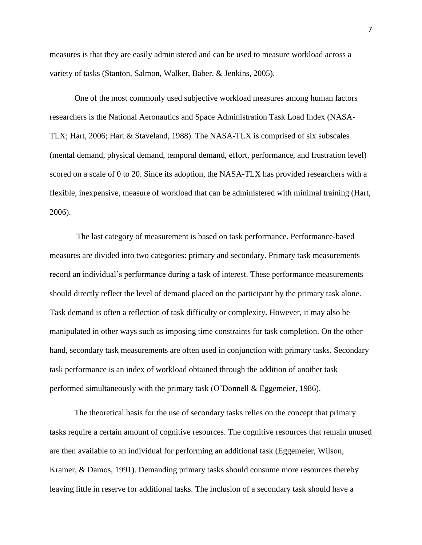measures is that they are easily administered and can be used to measure workload across a variety of tasks (Stanton, Salmon, Walker, Baber, & Jenkins, 2005).

One of the most commonly used subjective workload measures among human factors researchers is the National Aeronautics and Space Administration Task Load Index (NASA-TLX; Hart, 2006; Hart & Staveland, 1988). The NASA-TLX is comprised of six subscales (mental demand, physical demand, temporal demand, effort, performance, and frustration level) scored on a scale of 0 to 20. Since its adoption, the NASA-TLX has provided researchers with a flexible, inexpensive, measure of workload that can be administered with minimal training (Hart, 2006).

The last category of measurement is based on task performance. Performance-based measures are divided into two categories: primary and secondary. Primary task measurements record an individual's performance during a task of interest. These performance measurements should directly reflect the level of demand placed on the participant by the primary task alone. Task demand is often a reflection of task difficulty or complexity. However, it may also be manipulated in other ways such as imposing time constraints for task completion. On the other hand, secondary task measurements are often used in conjunction with primary tasks. Secondary task performance is an index of workload obtained through the addition of another task performed simultaneously with the primary task (O'Donnell & Eggemeier, 1986).

The theoretical basis for the use of secondary tasks relies on the concept that primary tasks require a certain amount of cognitive resources. The cognitive resources that remain unused are then available to an individual for performing an additional task (Eggemeier, Wilson, Kramer, & Damos, 1991). Demanding primary tasks should consume more resources thereby leaving little in reserve for additional tasks. The inclusion of a secondary task should have a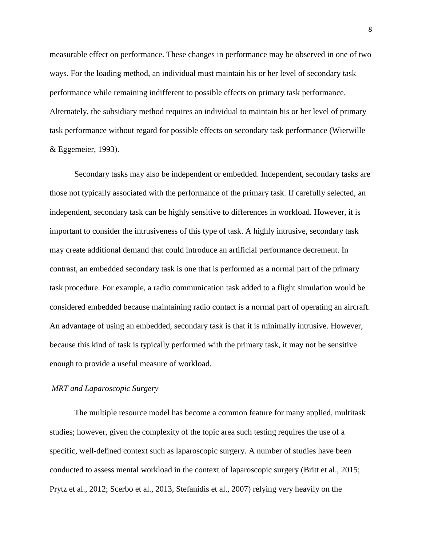measurable effect on performance. These changes in performance may be observed in one of two ways. For the loading method, an individual must maintain his or her level of secondary task performance while remaining indifferent to possible effects on primary task performance. Alternately, the subsidiary method requires an individual to maintain his or her level of primary task performance without regard for possible effects on secondary task performance (Wierwille & Eggemeier, 1993).

Secondary tasks may also be independent or embedded. Independent, secondary tasks are those not typically associated with the performance of the primary task. If carefully selected, an independent, secondary task can be highly sensitive to differences in workload. However, it is important to consider the intrusiveness of this type of task. A highly intrusive, secondary task may create additional demand that could introduce an artificial performance decrement. In contrast, an embedded secondary task is one that is performed as a normal part of the primary task procedure. For example, a radio communication task added to a flight simulation would be considered embedded because maintaining radio contact is a normal part of operating an aircraft. An advantage of using an embedded, secondary task is that it is minimally intrusive. However, because this kind of task is typically performed with the primary task, it may not be sensitive enough to provide a useful measure of workload.

#### *MRT and Laparoscopic Surgery*

The multiple resource model has become a common feature for many applied, multitask studies; however, given the complexity of the topic area such testing requires the use of a specific, well-defined context such as laparoscopic surgery. A number of studies have been conducted to assess mental workload in the context of laparoscopic surgery (Britt et al., 2015; Prytz et al., 2012; Scerbo et al., 2013, Stefanidis et al., 2007) relying very heavily on the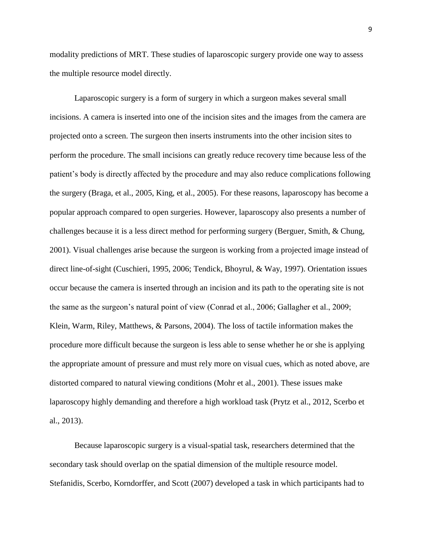modality predictions of MRT. These studies of laparoscopic surgery provide one way to assess the multiple resource model directly.

Laparoscopic surgery is a form of surgery in which a surgeon makes several small incisions. A camera is inserted into one of the incision sites and the images from the camera are projected onto a screen. The surgeon then inserts instruments into the other incision sites to perform the procedure. The small incisions can greatly reduce recovery time because less of the patient's body is directly affected by the procedure and may also reduce complications following the surgery (Braga, et al., 2005, King, et al., 2005). For these reasons, laparoscopy has become a popular approach compared to open surgeries. However, laparoscopy also presents a number of challenges because it is a less direct method for performing surgery (Berguer, Smith, & Chung, 2001). Visual challenges arise because the surgeon is working from a projected image instead of direct line-of-sight (Cuschieri, 1995, 2006; Tendick, Bhoyrul, & Way, 1997). Orientation issues occur because the camera is inserted through an incision and its path to the operating site is not the same as the surgeon's natural point of view (Conrad et al., 2006; Gallagher et al., 2009; Klein, Warm, Riley, Matthews, & Parsons, 2004). The loss of tactile information makes the procedure more difficult because the surgeon is less able to sense whether he or she is applying the appropriate amount of pressure and must rely more on visual cues, which as noted above, are distorted compared to natural viewing conditions (Mohr et al., 2001). These issues make laparoscopy highly demanding and therefore a high workload task (Prytz et al., 2012, Scerbo et al., 2013).

Because laparoscopic surgery is a visual-spatial task, researchers determined that the secondary task should overlap on the spatial dimension of the multiple resource model. Stefanidis, Scerbo, Korndorffer, and Scott (2007) developed a task in which participants had to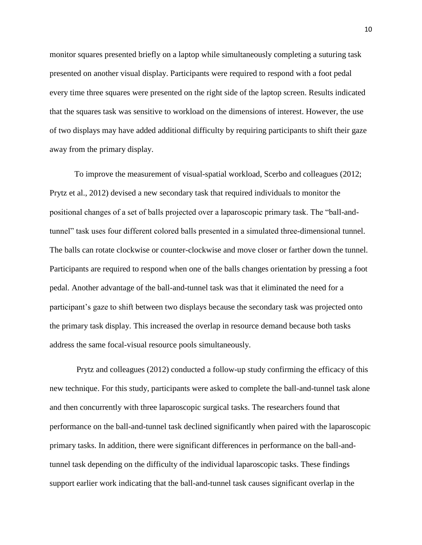monitor squares presented briefly on a laptop while simultaneously completing a suturing task presented on another visual display. Participants were required to respond with a foot pedal every time three squares were presented on the right side of the laptop screen. Results indicated that the squares task was sensitive to workload on the dimensions of interest. However, the use of two displays may have added additional difficulty by requiring participants to shift their gaze away from the primary display.

To improve the measurement of visual-spatial workload, Scerbo and colleagues (2012; Prytz et al., 2012) devised a new secondary task that required individuals to monitor the positional changes of a set of balls projected over a laparoscopic primary task. The "ball-andtunnel" task uses four different colored balls presented in a simulated three-dimensional tunnel. The balls can rotate clockwise or counter-clockwise and move closer or farther down the tunnel. Participants are required to respond when one of the balls changes orientation by pressing a foot pedal. Another advantage of the ball-and-tunnel task was that it eliminated the need for a participant's gaze to shift between two displays because the secondary task was projected onto the primary task display. This increased the overlap in resource demand because both tasks address the same focal-visual resource pools simultaneously.

Prytz and colleagues (2012) conducted a follow-up study confirming the efficacy of this new technique. For this study, participants were asked to complete the ball-and-tunnel task alone and then concurrently with three laparoscopic surgical tasks. The researchers found that performance on the ball-and-tunnel task declined significantly when paired with the laparoscopic primary tasks. In addition, there were significant differences in performance on the ball-andtunnel task depending on the difficulty of the individual laparoscopic tasks. These findings support earlier work indicating that the ball-and-tunnel task causes significant overlap in the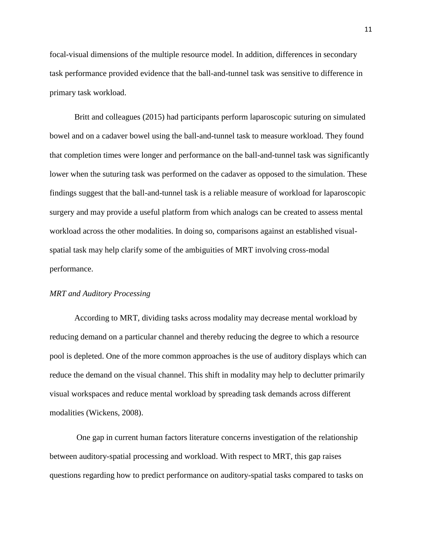focal-visual dimensions of the multiple resource model. In addition, differences in secondary task performance provided evidence that the ball-and-tunnel task was sensitive to difference in primary task workload.

Britt and colleagues (2015) had participants perform laparoscopic suturing on simulated bowel and on a cadaver bowel using the ball-and-tunnel task to measure workload. They found that completion times were longer and performance on the ball-and-tunnel task was significantly lower when the suturing task was performed on the cadaver as opposed to the simulation. These findings suggest that the ball-and-tunnel task is a reliable measure of workload for laparoscopic surgery and may provide a useful platform from which analogs can be created to assess mental workload across the other modalities. In doing so, comparisons against an established visualspatial task may help clarify some of the ambiguities of MRT involving cross-modal performance.

#### *MRT and Auditory Processing*

According to MRT, dividing tasks across modality may decrease mental workload by reducing demand on a particular channel and thereby reducing the degree to which a resource pool is depleted. One of the more common approaches is the use of auditory displays which can reduce the demand on the visual channel. This shift in modality may help to declutter primarily visual workspaces and reduce mental workload by spreading task demands across different modalities (Wickens, 2008).

One gap in current human factors literature concerns investigation of the relationship between auditory-spatial processing and workload. With respect to MRT, this gap raises questions regarding how to predict performance on auditory-spatial tasks compared to tasks on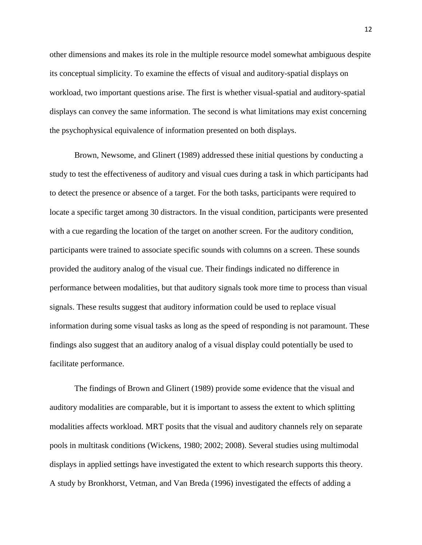other dimensions and makes its role in the multiple resource model somewhat ambiguous despite its conceptual simplicity. To examine the effects of visual and auditory-spatial displays on workload, two important questions arise. The first is whether visual-spatial and auditory-spatial displays can convey the same information. The second is what limitations may exist concerning the psychophysical equivalence of information presented on both displays.

Brown, Newsome, and Glinert (1989) addressed these initial questions by conducting a study to test the effectiveness of auditory and visual cues during a task in which participants had to detect the presence or absence of a target. For the both tasks, participants were required to locate a specific target among 30 distractors. In the visual condition, participants were presented with a cue regarding the location of the target on another screen. For the auditory condition, participants were trained to associate specific sounds with columns on a screen. These sounds provided the auditory analog of the visual cue. Their findings indicated no difference in performance between modalities, but that auditory signals took more time to process than visual signals. These results suggest that auditory information could be used to replace visual information during some visual tasks as long as the speed of responding is not paramount. These findings also suggest that an auditory analog of a visual display could potentially be used to facilitate performance.

The findings of Brown and Glinert (1989) provide some evidence that the visual and auditory modalities are comparable, but it is important to assess the extent to which splitting modalities affects workload. MRT posits that the visual and auditory channels rely on separate pools in multitask conditions (Wickens, 1980; 2002; 2008). Several studies using multimodal displays in applied settings have investigated the extent to which research supports this theory. A study by Bronkhorst, Vetman, and Van Breda (1996) investigated the effects of adding a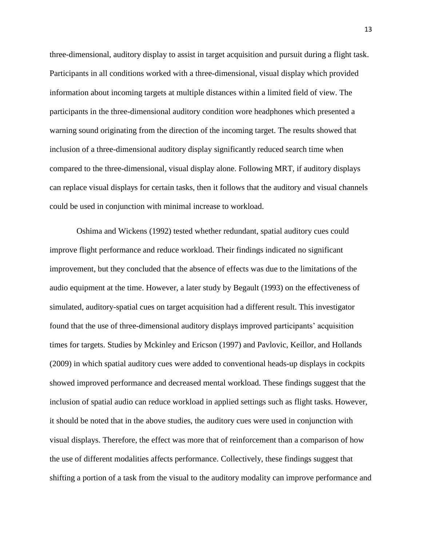three-dimensional, auditory display to assist in target acquisition and pursuit during a flight task. Participants in all conditions worked with a three-dimensional, visual display which provided information about incoming targets at multiple distances within a limited field of view. The participants in the three-dimensional auditory condition wore headphones which presented a warning sound originating from the direction of the incoming target. The results showed that inclusion of a three-dimensional auditory display significantly reduced search time when compared to the three-dimensional, visual display alone. Following MRT, if auditory displays can replace visual displays for certain tasks, then it follows that the auditory and visual channels could be used in conjunction with minimal increase to workload.

Oshima and Wickens (1992) tested whether redundant, spatial auditory cues could improve flight performance and reduce workload. Their findings indicated no significant improvement, but they concluded that the absence of effects was due to the limitations of the audio equipment at the time. However, a later study by Begault (1993) on the effectiveness of simulated, auditory-spatial cues on target acquisition had a different result. This investigator found that the use of three-dimensional auditory displays improved participants' acquisition times for targets. Studies by Mckinley and Ericson (1997) and Pavlovic, Keillor, and Hollands (2009) in which spatial auditory cues were added to conventional heads-up displays in cockpits showed improved performance and decreased mental workload. These findings suggest that the inclusion of spatial audio can reduce workload in applied settings such as flight tasks. However, it should be noted that in the above studies, the auditory cues were used in conjunction with visual displays. Therefore, the effect was more that of reinforcement than a comparison of how the use of different modalities affects performance. Collectively, these findings suggest that shifting a portion of a task from the visual to the auditory modality can improve performance and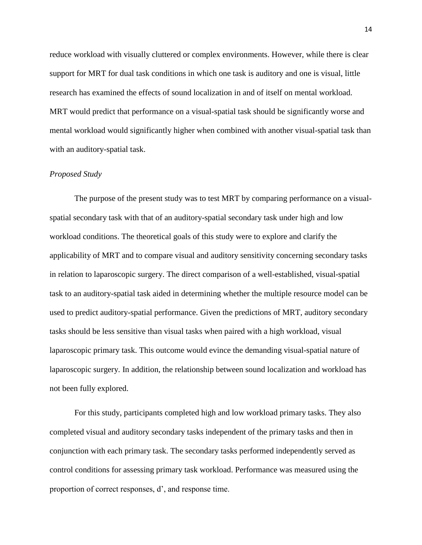reduce workload with visually cluttered or complex environments. However, while there is clear support for MRT for dual task conditions in which one task is auditory and one is visual, little research has examined the effects of sound localization in and of itself on mental workload. MRT would predict that performance on a visual-spatial task should be significantly worse and mental workload would significantly higher when combined with another visual-spatial task than with an auditory-spatial task.

#### *Proposed Study*

The purpose of the present study was to test MRT by comparing performance on a visualspatial secondary task with that of an auditory-spatial secondary task under high and low workload conditions. The theoretical goals of this study were to explore and clarify the applicability of MRT and to compare visual and auditory sensitivity concerning secondary tasks in relation to laparoscopic surgery. The direct comparison of a well-established, visual-spatial task to an auditory-spatial task aided in determining whether the multiple resource model can be used to predict auditory-spatial performance. Given the predictions of MRT, auditory secondary tasks should be less sensitive than visual tasks when paired with a high workload, visual laparoscopic primary task. This outcome would evince the demanding visual-spatial nature of laparoscopic surgery. In addition, the relationship between sound localization and workload has not been fully explored.

For this study, participants completed high and low workload primary tasks. They also completed visual and auditory secondary tasks independent of the primary tasks and then in conjunction with each primary task. The secondary tasks performed independently served as control conditions for assessing primary task workload. Performance was measured using the proportion of correct responses, d', and response time.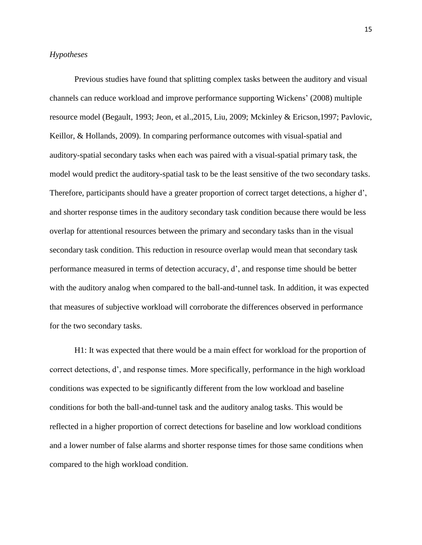#### *Hypotheses*

Previous studies have found that splitting complex tasks between the auditory and visual channels can reduce workload and improve performance supporting Wickens' (2008) multiple resource model (Begault, 1993; Jeon, et al.,2015, Liu, 2009; Mckinley & Ericson,1997; Pavlovic, Keillor, & Hollands, 2009). In comparing performance outcomes with visual-spatial and auditory-spatial secondary tasks when each was paired with a visual-spatial primary task, the model would predict the auditory-spatial task to be the least sensitive of the two secondary tasks. Therefore, participants should have a greater proportion of correct target detections, a higher d', and shorter response times in the auditory secondary task condition because there would be less overlap for attentional resources between the primary and secondary tasks than in the visual secondary task condition. This reduction in resource overlap would mean that secondary task performance measured in terms of detection accuracy, d', and response time should be better with the auditory analog when compared to the ball-and-tunnel task. In addition, it was expected that measures of subjective workload will corroborate the differences observed in performance for the two secondary tasks.

H1: It was expected that there would be a main effect for workload for the proportion of correct detections, d', and response times. More specifically, performance in the high workload conditions was expected to be significantly different from the low workload and baseline conditions for both the ball-and-tunnel task and the auditory analog tasks. This would be reflected in a higher proportion of correct detections for baseline and low workload conditions and a lower number of false alarms and shorter response times for those same conditions when compared to the high workload condition.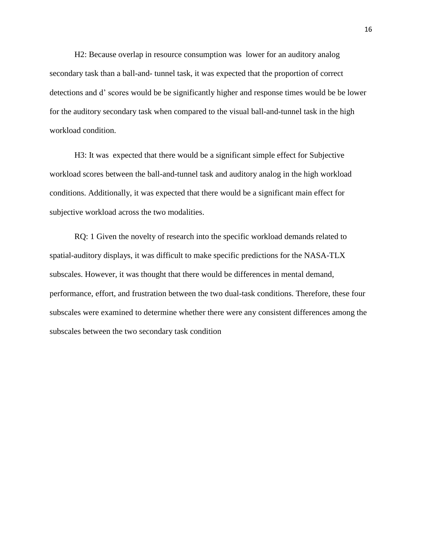H2: Because overlap in resource consumption was lower for an auditory analog secondary task than a ball-and- tunnel task, it was expected that the proportion of correct detections and d' scores would be be significantly higher and response times would be be lower for the auditory secondary task when compared to the visual ball-and-tunnel task in the high workload condition.

H3: It was expected that there would be a significant simple effect for Subjective workload scores between the ball-and-tunnel task and auditory analog in the high workload conditions. Additionally, it was expected that there would be a significant main effect for subjective workload across the two modalities.

RQ: 1 Given the novelty of research into the specific workload demands related to spatial-auditory displays, it was difficult to make specific predictions for the NASA-TLX subscales. However, it was thought that there would be differences in mental demand, performance, effort, and frustration between the two dual-task conditions. Therefore, these four subscales were examined to determine whether there were any consistent differences among the subscales between the two secondary task condition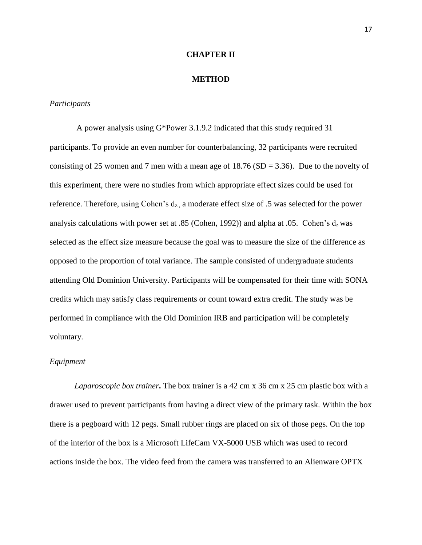#### **CHAPTER II**

#### **METHOD**

#### *Participants*

A power analysis using G\*Power 3.1.9.2 indicated that this study required 31 participants. To provide an even number for counterbalancing, 32 participants were recruited consisting of 25 women and 7 men with a mean age of  $18.76$  (SD = 3.36). Due to the novelty of this experiment, there were no studies from which appropriate effect sizes could be used for reference. Therefore, using Cohen's  $d_{z}$ , a moderate effect size of .5 was selected for the power analysis calculations with power set at .85 (Cohen, 1992)) and alpha at .05. Cohen's  $d_z$  was selected as the effect size measure because the goal was to measure the size of the difference as opposed to the proportion of total variance. The sample consisted of undergraduate students attending Old Dominion University. Participants will be compensated for their time with SONA credits which may satisfy class requirements or count toward extra credit. The study was be performed in compliance with the Old Dominion IRB and participation will be completely voluntary.

#### *Equipment*

*Laparoscopic box trainer***.** The box trainer is a 42 cm x 36 cm x 25 cm plastic box with a drawer used to prevent participants from having a direct view of the primary task. Within the box there is a pegboard with 12 pegs. Small rubber rings are placed on six of those pegs. On the top of the interior of the box is a Microsoft LifeCam VX-5000 USB which was used to record actions inside the box. The video feed from the camera was transferred to an Alienware OPTX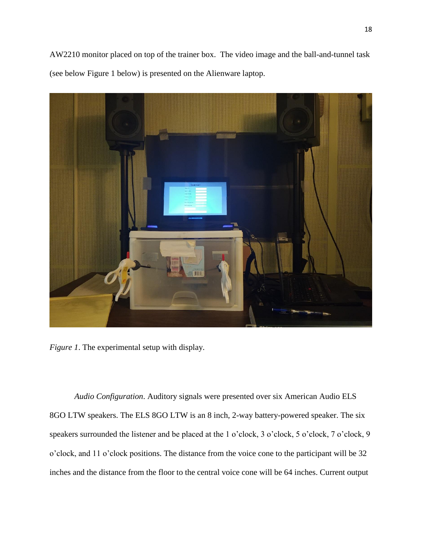AW2210 monitor placed on top of the trainer box. The video image and the ball-and-tunnel task (see below Figure 1 below) is presented on the Alienware laptop.



*Figure 1*. The experimental setup with display.

*Audio Configuration*. Auditory signals were presented over six American Audio ELS 8GO LTW speakers. The ELS 8GO LTW is an 8 inch, 2-way battery-powered speaker. The six speakers surrounded the listener and be placed at the 1 o'clock, 3 o'clock, 5 o'clock, 7 o'clock, 9 o'clock, and 11 o'clock positions. The distance from the voice cone to the participant will be 32 inches and the distance from the floor to the central voice cone will be 64 inches. Current output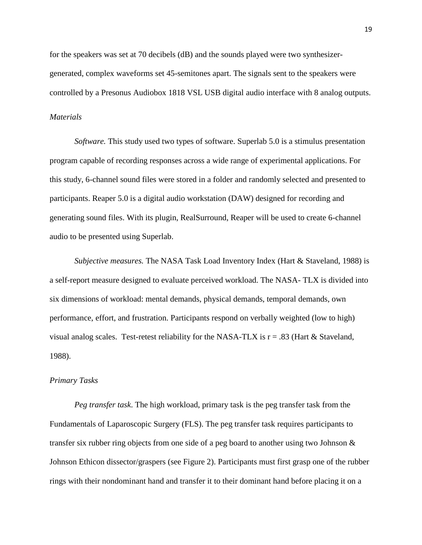for the speakers was set at 70 decibels (dB) and the sounds played were two synthesizergenerated, complex waveforms set 45-semitones apart. The signals sent to the speakers were controlled by a Presonus Audiobox 1818 VSL USB digital audio interface with 8 analog outputs. *Materials*

*Software.* This study used two types of software. Superlab 5.0 is a stimulus presentation program capable of recording responses across a wide range of experimental applications. For this study, 6-channel sound files were stored in a folder and randomly selected and presented to participants. Reaper 5.0 is a digital audio workstation (DAW) designed for recording and generating sound files. With its plugin, RealSurround, Reaper will be used to create 6-channel audio to be presented using Superlab.

*Subjective measures.* The NASA Task Load Inventory Index (Hart & Staveland, 1988) is a self-report measure designed to evaluate perceived workload. The NASA- TLX is divided into six dimensions of workload: mental demands, physical demands, temporal demands, own performance, effort, and frustration. Participants respond on verbally weighted (low to high) visual analog scales. Test-retest reliability for the NASA-TLX is  $r = .83$  (Hart & Staveland, 1988).

#### *Primary Tasks*

*Peg transfer task*. The high workload, primary task is the peg transfer task from the Fundamentals of Laparoscopic Surgery (FLS). The peg transfer task requires participants to transfer six rubber ring objects from one side of a peg board to another using two Johnson & Johnson Ethicon dissector/graspers (see Figure 2). Participants must first grasp one of the rubber rings with their nondominant hand and transfer it to their dominant hand before placing it on a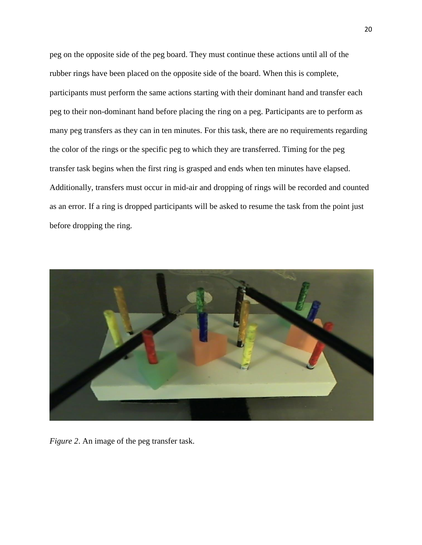peg on the opposite side of the peg board. They must continue these actions until all of the rubber rings have been placed on the opposite side of the board. When this is complete, participants must perform the same actions starting with their dominant hand and transfer each peg to their non-dominant hand before placing the ring on a peg. Participants are to perform as many peg transfers as they can in ten minutes. For this task, there are no requirements regarding the color of the rings or the specific peg to which they are transferred. Timing for the peg transfer task begins when the first ring is grasped and ends when ten minutes have elapsed. Additionally, transfers must occur in mid-air and dropping of rings will be recorded and counted as an error. If a ring is dropped participants will be asked to resume the task from the point just before dropping the ring.



*Figure 2*. An image of the peg transfer task.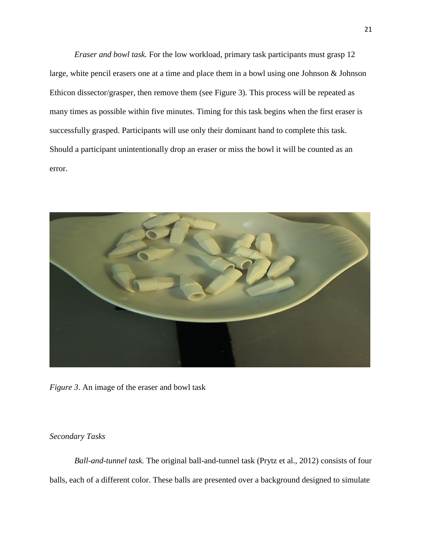*Eraser and bowl task.* For the low workload, primary task participants must grasp 12 large, white pencil erasers one at a time and place them in a bowl using one Johnson & Johnson Ethicon dissector/grasper, then remove them (see Figure 3). This process will be repeated as many times as possible within five minutes. Timing for this task begins when the first eraser is successfully grasped. Participants will use only their dominant hand to complete this task. Should a participant unintentionally drop an eraser or miss the bowl it will be counted as an error.



*Figure 3*. An image of the eraser and bowl task

*Secondary Tasks*

*Ball-and-tunnel task.* The original ball-and-tunnel task (Prytz et al., 2012) consists of four balls, each of a different color. These balls are presented over a background designed to simulate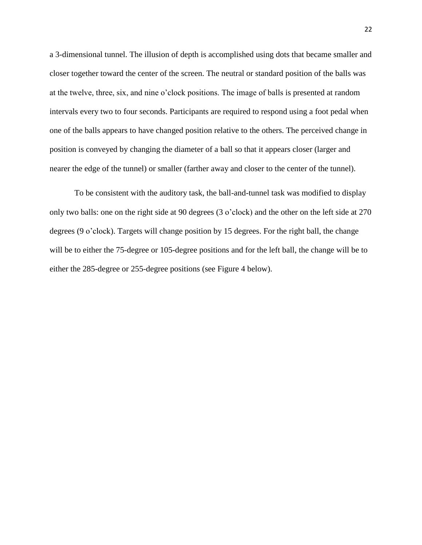a 3-dimensional tunnel. The illusion of depth is accomplished using dots that became smaller and closer together toward the center of the screen. The neutral or standard position of the balls was at the twelve, three, six, and nine o'clock positions. The image of balls is presented at random intervals every two to four seconds. Participants are required to respond using a foot pedal when one of the balls appears to have changed position relative to the others. The perceived change in position is conveyed by changing the diameter of a ball so that it appears closer (larger and nearer the edge of the tunnel) or smaller (farther away and closer to the center of the tunnel).

To be consistent with the auditory task, the ball-and-tunnel task was modified to display only two balls: one on the right side at 90 degrees (3 o'clock) and the other on the left side at 270 degrees (9 o'clock). Targets will change position by 15 degrees. For the right ball, the change will be to either the 75-degree or 105-degree positions and for the left ball, the change will be to either the 285-degree or 255-degree positions (see Figure 4 below).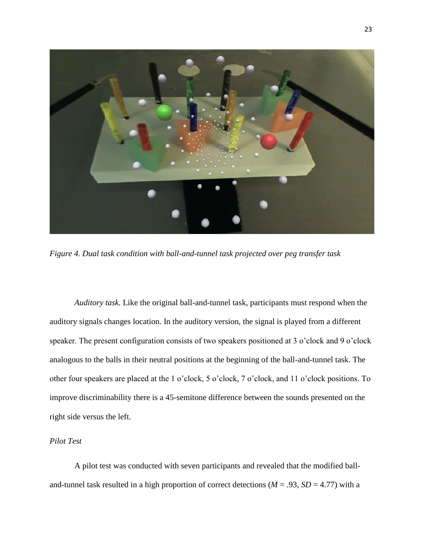

*Figure 4. Dual task condition with ball-and-tunnel task projected over peg transfer task*

*Auditory task.* Like the original ball-and-tunnel task, participants must respond when the auditory signals changes location. In the auditory version, the signal is played from a different speaker. The present configuration consists of two speakers positioned at 3 o'clock and 9 o'clock analogous to the balls in their neutral positions at the beginning of the ball-and-tunnel task. The other four speakers are placed at the 1 o'clock, 5 o'clock, 7 o'clock, and 11 o'clock positions. To improve discriminability there is a 45-semitone difference between the sounds presented on the right side versus the left.

#### *Pilot Test*

A pilot test was conducted with seven participants and revealed that the modified balland-tunnel task resulted in a high proportion of correct detections ( $M = .93$ ,  $SD = 4.77$ ) with a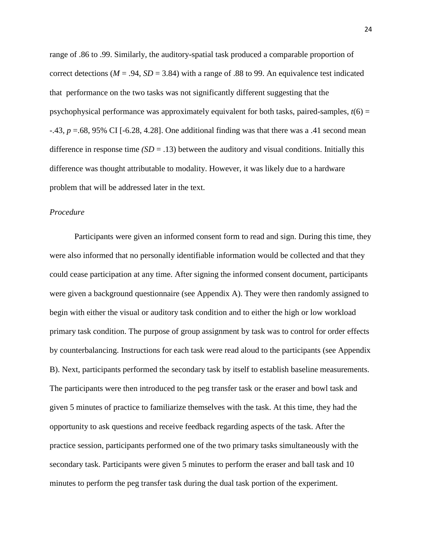range of .86 to .99. Similarly, the auditory-spatial task produced a comparable proportion of correct detections ( $M = .94$ ,  $SD = 3.84$ ) with a range of .88 to 99. An equivalence test indicated that performance on the two tasks was not significantly different suggesting that the psychophysical performance was approximately equivalent for both tasks, paired-samples,  $t(6)$  = -.43, *p* =.68, 95% CI [-6.28, 4.28]. One additional finding was that there was a .41 second mean difference in response time  $(SD = .13)$  between the auditory and visual conditions. Initially this difference was thought attributable to modality. However, it was likely due to a hardware problem that will be addressed later in the text.

#### *Procedure*

Participants were given an informed consent form to read and sign. During this time, they were also informed that no personally identifiable information would be collected and that they could cease participation at any time. After signing the informed consent document, participants were given a background questionnaire (see Appendix A). They were then randomly assigned to begin with either the visual or auditory task condition and to either the high or low workload primary task condition. The purpose of group assignment by task was to control for order effects by counterbalancing. Instructions for each task were read aloud to the participants (see Appendix B). Next, participants performed the secondary task by itself to establish baseline measurements. The participants were then introduced to the peg transfer task or the eraser and bowl task and given 5 minutes of practice to familiarize themselves with the task. At this time, they had the opportunity to ask questions and receive feedback regarding aspects of the task. After the practice session, participants performed one of the two primary tasks simultaneously with the secondary task. Participants were given 5 minutes to perform the eraser and ball task and 10 minutes to perform the peg transfer task during the dual task portion of the experiment.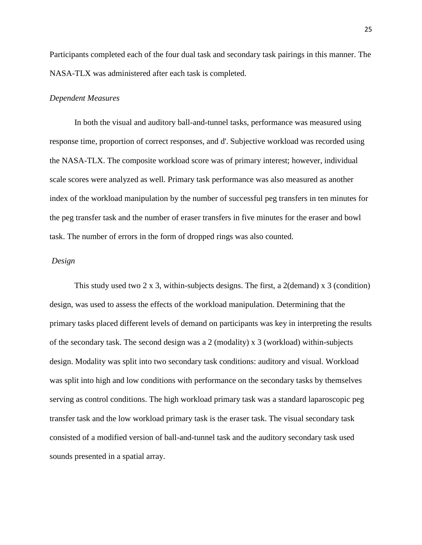Participants completed each of the four dual task and secondary task pairings in this manner. The NASA-TLX was administered after each task is completed.

#### *Dependent Measures*

In both the visual and auditory ball-and-tunnel tasks, performance was measured using response time, proportion of correct responses, and d'. Subjective workload was recorded using the NASA-TLX. The composite workload score was of primary interest; however, individual scale scores were analyzed as well. Primary task performance was also measured as another index of the workload manipulation by the number of successful peg transfers in ten minutes for the peg transfer task and the number of eraser transfers in five minutes for the eraser and bowl task. The number of errors in the form of dropped rings was also counted.

#### *Design*

This study used two 2 x 3, within-subjects designs. The first, a 2(demand) x 3 (condition) design, was used to assess the effects of the workload manipulation. Determining that the primary tasks placed different levels of demand on participants was key in interpreting the results of the secondary task. The second design was a 2 (modality) x 3 (workload) within-subjects design. Modality was split into two secondary task conditions: auditory and visual. Workload was split into high and low conditions with performance on the secondary tasks by themselves serving as control conditions. The high workload primary task was a standard laparoscopic peg transfer task and the low workload primary task is the eraser task. The visual secondary task consisted of a modified version of ball-and-tunnel task and the auditory secondary task used sounds presented in a spatial array.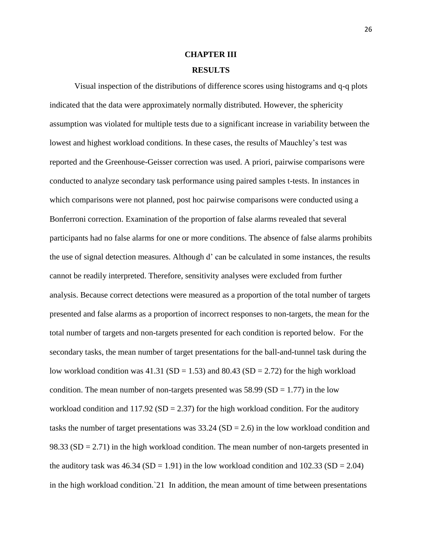# **CHAPTER III RESULTS**

# Visual inspection of the distributions of difference scores using histograms and q-q plots indicated that the data were approximately normally distributed. However, the sphericity assumption was violated for multiple tests due to a significant increase in variability between the lowest and highest workload conditions. In these cases, the results of Mauchley's test was reported and the Greenhouse-Geisser correction was used. A priori, pairwise comparisons were conducted to analyze secondary task performance using paired samples t-tests. In instances in which comparisons were not planned, post hoc pairwise comparisons were conducted using a Bonferroni correction. Examination of the proportion of false alarms revealed that several participants had no false alarms for one or more conditions. The absence of false alarms prohibits the use of signal detection measures. Although d' can be calculated in some instances, the results cannot be readily interpreted. Therefore, sensitivity analyses were excluded from further analysis. Because correct detections were measured as a proportion of the total number of targets presented and false alarms as a proportion of incorrect responses to non-targets, the mean for the total number of targets and non-targets presented for each condition is reported below. For the secondary tasks, the mean number of target presentations for the ball-and-tunnel task during the low workload condition was  $41.31$  (SD = 1.53) and  $80.43$  (SD = 2.72) for the high workload condition. The mean number of non-targets presented was  $58.99 \text{ (SD} = 1.77)$  in the low workload condition and  $117.92$  (SD = 2.37) for the high workload condition. For the auditory tasks the number of target presentations was  $33.24$  (SD = 2.6) in the low workload condition and 98.33 ( $SD = 2.71$ ) in the high workload condition. The mean number of non-targets presented in the auditory task was  $46.34$  (SD = 1.91) in the low workload condition and  $102.33$  (SD = 2.04) in the high workload condition.`21 In addition, the mean amount of time between presentations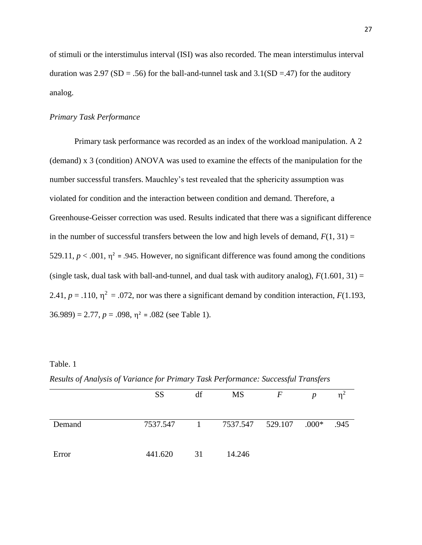of stimuli or the interstimulus interval (ISI) was also recorded. The mean interstimulus interval duration was 2.97 (SD = .56) for the ball-and-tunnel task and  $3.1(SD = .47)$  for the auditory analog.

#### *Primary Task Performance*

Primary task performance was recorded as an index of the workload manipulation. A 2 (demand) x 3 (condition) ANOVA was used to examine the effects of the manipulation for the number successful transfers. Mauchley's test revealed that the sphericity assumption was violated for condition and the interaction between condition and demand. Therefore, a Greenhouse-Geisser correction was used. Results indicated that there was a significant difference in the number of successful transfers between the low and high levels of demand,  $F(1, 31) =$ 529.11,  $p < .001$ ,  $\eta^2 = .945$ . However, no significant difference was found among the conditions (single task, dual task with ball-and-tunnel, and dual task with auditory analog),  $F(1.601, 31) =$ 2.41,  $p = .110$ ,  $\eta^2 = .072$ , nor was there a significant demand by condition interaction,  $F(1.193,$  $36.989$  = 2.77,  $p = .098$ ,  $\eta^2$  = .082 (see Table 1).

#### Table. 1

|        | <b>SS</b> | df                               | <b>MS</b>        | F | $\boldsymbol{p}$ |      |
|--------|-----------|----------------------------------|------------------|---|------------------|------|
| Demand | 7537.547  | $\begin{array}{c} 1 \end{array}$ | 7537.547 529.107 |   | $.000*$          | .945 |
| Error  | 441.620   | 31                               | 14.246           |   |                  |      |

*Results of Analysis of Variance for Primary Task Performance: Successful Transfers*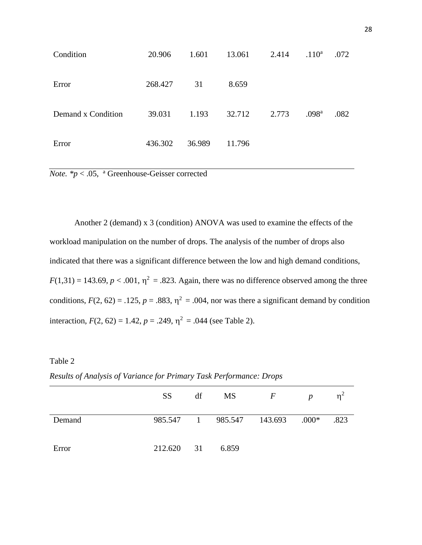| Condition          | 20.906  | 1.601  | 13.061 | 2.414 | $.110^a$          | .072 |
|--------------------|---------|--------|--------|-------|-------------------|------|
| Error              | 268.427 | 31     | 8.659  |       |                   |      |
| Demand x Condition | 39.031  | 1.193  | 32.712 | 2.773 | .098 <sup>a</sup> | .082 |
| Error              | 436.302 | 36.989 | 11.796 |       |                   |      |

*Note. \*p* < .05, <sup>a</sup> Greenhouse-Geisser corrected

Another 2 (demand) x 3 (condition) ANOVA was used to examine the effects of the workload manipulation on the number of drops. The analysis of the number of drops also indicated that there was a significant difference between the low and high demand conditions,  $F(1,31) = 143.69$ ,  $p < .001$ ,  $\eta^2 = .823$ . Again, there was no difference observed among the three conditions,  $F(2, 62) = .125$ ,  $p = .883$ ,  $\eta^2 = .004$ , nor was there a significant demand by condition interaction,  $F(2, 62) = 1.42$ ,  $p = .249$ ,  $\eta^2 = .044$  (see Table 2).

# Table 2

|        | <b>SS</b>  | df | <b>MS</b>                       | $\overline{F}$ | $\boldsymbol{p}$ | n <sup>2</sup> |
|--------|------------|----|---------------------------------|----------------|------------------|----------------|
| Demand |            |    | 985.547 1 985.547 143.693 .000* |                |                  | .823           |
| Error  | 212.620 31 |    | 6.859                           |                |                  |                |

*Results of Analysis of Variance for Primary Task Performance: Drops*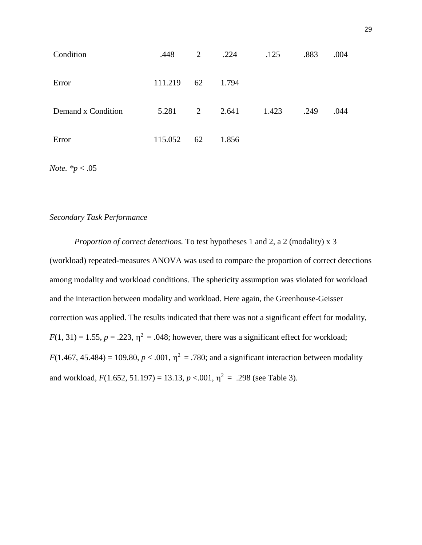| Condition          | .448    | 2  | .224  | .125  | .883 | .004 |
|--------------------|---------|----|-------|-------|------|------|
| Error              | 111.219 | 62 | 1.794 |       |      |      |
| Demand x Condition | 5.281   | 2  | 2.641 | 1.423 | .249 | .044 |
| Error              | 115.052 | 62 | 1.856 |       |      |      |

*Note. \*p* < .05

# *Secondary Task Performance*

*Proportion of correct detections.* To test hypotheses 1 and 2, a 2 (modality) x 3 (workload) repeated-measures ANOVA was used to compare the proportion of correct detections among modality and workload conditions. The sphericity assumption was violated for workload and the interaction between modality and workload. Here again, the Greenhouse-Geisser correction was applied. The results indicated that there was not a significant effect for modality,  $F(1, 31) = 1.55$ ,  $p = .223$ ,  $\eta^2 = .048$ ; however, there was a significant effect for workload;  $F(1.467, 45.484) = 109.80, p < .001, \eta^2 = .780$ ; and a significant interaction between modality and workload,  $F(1.652, 51.197) = 13.13, p < .001, \eta^2 = .298$  (see Table 3).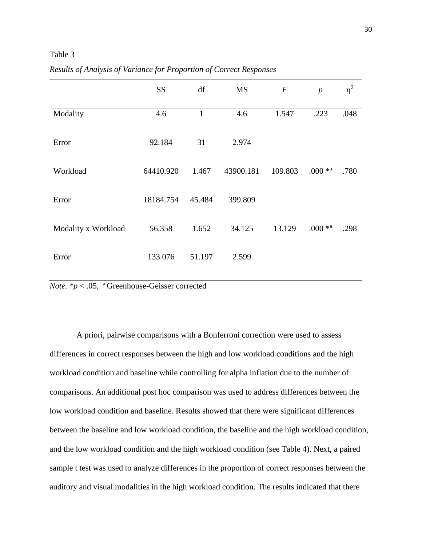# Table 3

|                     | <b>SS</b> | df           | MS        | $\boldsymbol{F}$ | $\boldsymbol{p}$ | $\eta^2$ |
|---------------------|-----------|--------------|-----------|------------------|------------------|----------|
| Modality            | 4.6       | $\mathbf{1}$ | 4.6       | 1.547            | .223             | .048     |
| Error               | 92.184    | 31           | 2.974     |                  |                  |          |
| Workload            | 64410.920 | 1.467        | 43900.181 | 109.803          | $.000 * a$       | .780     |
| Error               | 18184.754 | 45.484       | 399.809   |                  |                  |          |
| Modality x Workload | 56.358    | 1.652        | 34.125    | 13.129           | $.000 * a$       | .298     |
| Error               | 133.076   | 51.197       | 2.599     |                  |                  |          |

*Results of Analysis of Variance for Proportion of Correct Responses*

*Note.*  $* p < .05$ , <sup>a</sup> Greenhouse-Geisser corrected

A priori, pairwise comparisons with a Bonferroni correction were used to assess differences in correct responses between the high and low workload conditions and the high workload condition and baseline while controlling for alpha inflation due to the number of comparisons. An additional post hoc comparison was used to address differences between the low workload condition and baseline. Results showed that there were significant differences between the baseline and low workload condition, the baseline and the high workload condition, and the low workload condition and the high workload condition (see Table 4). Next, a paired sample t test was used to analyze differences in the proportion of correct responses between the auditory and visual modalities in the high workload condition. The results indicated that there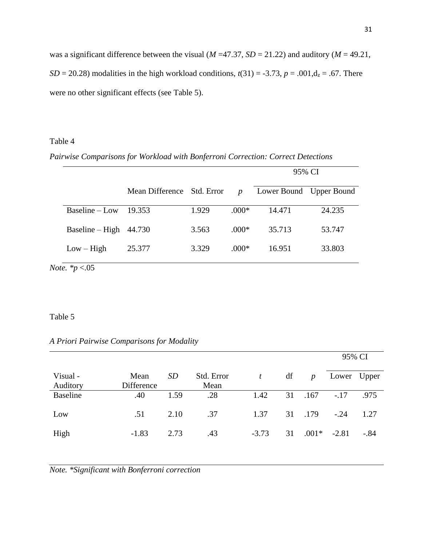was a significant difference between the visual ( $M = 47.37$ ,  $SD = 21.22$ ) and auditory ( $M = 49.21$ ,  $SD = 20.28$ ) modalities in the high workload conditions,  $t(31) = -3.73$ ,  $p = .001$ ,  $d_z = .67$ . There were no other significant effects (see Table 5).

## Table 4

*Pairwise Comparisons for Workload with Bonferroni Correction: Correct Detections*

|                            |                            |       |                  | 95% CI                  |        |  |  |
|----------------------------|----------------------------|-------|------------------|-------------------------|--------|--|--|
|                            | Mean Difference Std. Error |       | $\boldsymbol{p}$ | Lower Bound Upper Bound |        |  |  |
| Baseline – Low             | 19.353                     | 1.929 | $.000*$          | 14.471                  | 24.235 |  |  |
| $Baseline-High$            | 44.730                     | 3.563 | $.000*$          | 35.713                  | 53.747 |  |  |
| $Low - High$               | 25.377                     | 3.329 | $.000*$          | 16.951                  | 33.803 |  |  |
| $\cdots$ $\cdots$ $\alpha$ |                            |       |                  |                         |        |  |  |

*Note. \*p* <.05

#### Table 5

# *A Priori Pairwise Comparisons for Modality*

|                      |                    |           |                    |                |    |                  | 95% CI  |        |
|----------------------|--------------------|-----------|--------------------|----------------|----|------------------|---------|--------|
| Visual -<br>Auditory | Mean<br>Difference | <b>SD</b> | Std. Error<br>Mean | $\mathfrak{t}$ | df | $\boldsymbol{p}$ | Lower   | Upper  |
| <b>Baseline</b>      | .40                | 1.59      | .28                | 1.42           | 31 | .167             | $-.17$  | .975   |
| Low                  | .51                | 2.10      | .37                | 1.37           |    | 31 .179          | $-.24$  | 1.27   |
| High                 | $-1.83$            | 2.73      | .43                | $-3.73$        | 31 | $.001*$          | $-2.81$ | $-.84$ |

*Note. \*Significant with Bonferroni correction*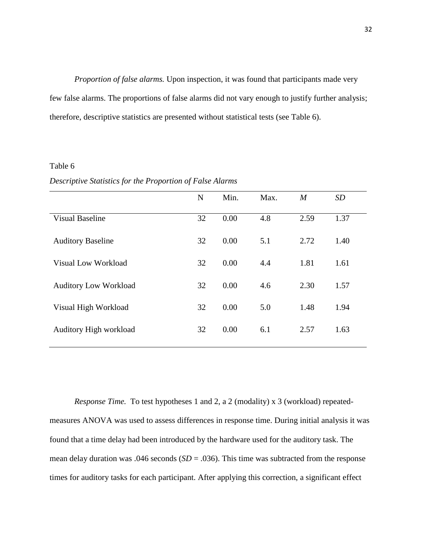*Proportion of false alarms.* Upon inspection, it was found that participants made very few false alarms. The proportions of false alarms did not vary enough to justify further analysis; therefore, descriptive statistics are presented without statistical tests (see Table 6).

#### Table 6

|                              | N  | Min. | Max. | M    | SD   |
|------------------------------|----|------|------|------|------|
| <b>Visual Baseline</b>       | 32 | 0.00 | 4.8  | 2.59 | 1.37 |
| <b>Auditory Baseline</b>     | 32 | 0.00 | 5.1  | 2.72 | 1.40 |
| Visual Low Workload          | 32 | 0.00 | 4.4  | 1.81 | 1.61 |
| <b>Auditory Low Workload</b> | 32 | 0.00 | 4.6  | 2.30 | 1.57 |

Visual High Workload 32 0.00 5.0 1.48 1.94

Auditory High workload 32 0.00 6.1 2.57 1.63

*Descriptive Statistics for the Proportion of False Alarms* 

*Response Time.* To test hypotheses 1 and 2, a 2 (modality) x 3 (workload) repeatedmeasures ANOVA was used to assess differences in response time. During initial analysis it was found that a time delay had been introduced by the hardware used for the auditory task. The mean delay duration was .046 seconds (*SD* = .036). This time was subtracted from the response times for auditory tasks for each participant. After applying this correction, a significant effect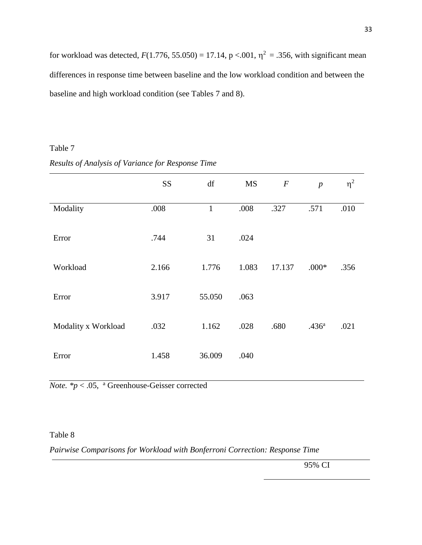for workload was detected,  $F(1.776, 55.050) = 17.14$ ,  $p < .001$ ,  $\eta^2 = .356$ , with significant mean differences in response time between baseline and the low workload condition and between the baseline and high workload condition (see Tables 7 and 8).

# Table 7

|                     | <b>SS</b> | df           | MS    | $\boldsymbol{F}$ | $\boldsymbol{p}$  | $\eta^2$ |
|---------------------|-----------|--------------|-------|------------------|-------------------|----------|
| Modality            | .008      | $\mathbf{1}$ | .008  | .327             | .571              | .010     |
| Error               | .744      | 31           | .024  |                  |                   |          |
| Workload            | 2.166     | 1.776        | 1.083 | 17.137           | $.000*$           | .356     |
| Error               | 3.917     | 55.050       | .063  |                  |                   |          |
| Modality x Workload | .032      | 1.162        | .028  | .680             | .436 <sup>a</sup> | .021     |
| Error               | 1.458     | 36.009       | .040  |                  |                   |          |

#### *Results of Analysis of Variance for Response Time*

*Note. \*p* < .05, <sup>a</sup> Greenhouse-Geisser corrected

Table 8

*Pairwise Comparisons for Workload with Bonferroni Correction: Response Time*

95% CI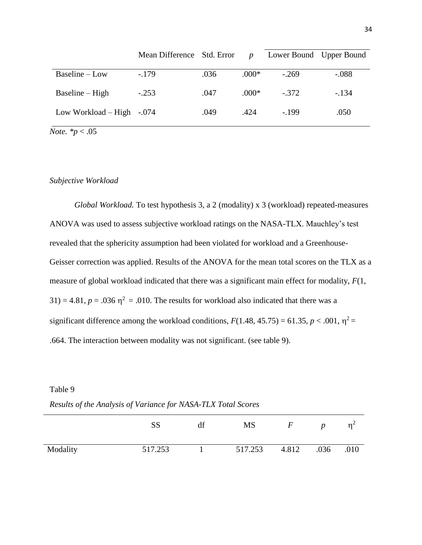|                           | Mean Difference Std. Error |      | $\boldsymbol{D}$ | Lower Bound Upper Bound |         |
|---------------------------|----------------------------|------|------------------|-------------------------|---------|
| $Baseline - Low$          | $-.179$                    | .036 | $.000*$          | $-269$                  | $-.088$ |
| $Baseline-High$           | $-.253$                    | .047 | $.000*$          | $-.372$                 | $-.134$ |
| Low Workload – High -.074 |                            | .049 | .424             | $-199$                  | .050    |

*Note. \*p* < .05

## *Subjective Workload*

*Global Workload.* To test hypothesis 3, a 2 (modality) x 3 (workload) repeated-measures ANOVA was used to assess subjective workload ratings on the NASA-TLX. Mauchley's test revealed that the sphericity assumption had been violated for workload and a Greenhouse-Geisser correction was applied. Results of the ANOVA for the mean total scores on the TLX as a measure of global workload indicated that there was a significant main effect for modality, *F*(1,  $31$ ) = 4.81,  $p = .036$   $\eta^2 = .010$ . The results for workload also indicated that there was a significant difference among the workload conditions,  $F(1.48, 45.75) = 61.35, p < .001, \eta^2 =$ .664. The interaction between modality was not significant. (see table 9).

Table 9

*Results of the Analysis of Variance for NASA-TLX Total Scores*

|          |         | MS      |       | n    | $n-$ |
|----------|---------|---------|-------|------|------|
| Modality | 517.253 | 517.253 | 4.812 | .036 | .010 |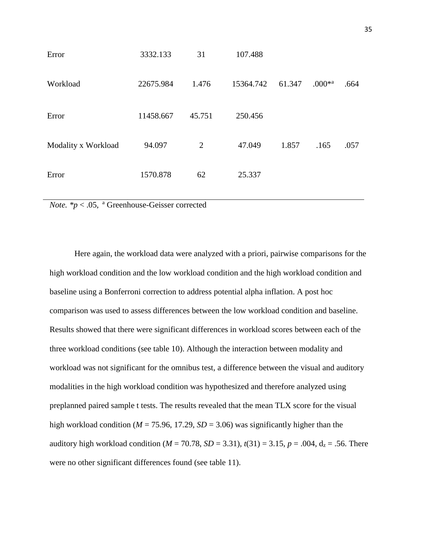| Error               | 3332.133  | 31     | 107.488   |        |                      |      |
|---------------------|-----------|--------|-----------|--------|----------------------|------|
| Workload            | 22675.984 | 1.476  | 15364.742 | 61.347 | $.000*$ <sup>a</sup> | .664 |
| Error               | 11458.667 | 45.751 | 250.456   |        |                      |      |
| Modality x Workload | 94.097    | 2      | 47.049    | 1.857  | .165                 | .057 |
| Error               | 1570.878  | 62     | 25.337    |        |                      |      |
|                     |           |        |           |        |                      |      |

*Note. \*p* < .05, <sup>a</sup> Greenhouse-Geisser corrected

Here again, the workload data were analyzed with a priori, pairwise comparisons for the high workload condition and the low workload condition and the high workload condition and baseline using a Bonferroni correction to address potential alpha inflation. A post hoc comparison was used to assess differences between the low workload condition and baseline. Results showed that there were significant differences in workload scores between each of the three workload conditions (see table 10). Although the interaction between modality and workload was not significant for the omnibus test, a difference between the visual and auditory modalities in the high workload condition was hypothesized and therefore analyzed using preplanned paired sample t tests. The results revealed that the mean TLX score for the visual high workload condition ( $M = 75.96$ , 17.29,  $SD = 3.06$ ) was significantly higher than the auditory high workload condition ( $M = 70.78$ ,  $SD = 3.31$ ),  $t(31) = 3.15$ ,  $p = .004$ ,  $d_z = .56$ . There were no other significant differences found (see table 11).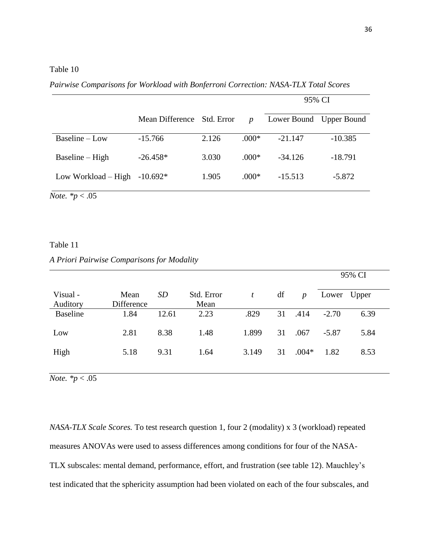|                     |                 |            |                  | 95% CI                  |           |
|---------------------|-----------------|------------|------------------|-------------------------|-----------|
|                     | Mean Difference | Std. Error | $\boldsymbol{p}$ | Lower Bound Upper Bound |           |
| Baseline - Low      | $-15.766$       | 2.126      | $.000*$          | $-21.147$               | $-10.385$ |
| $Baseline-High$     | $-26.458*$      | 3.030      | $.000*$          | $-34.126$               | $-18.791$ |
| Low Workload – High | $-10.692*$      | 1.905      | $.000*$          | $-15.513$               | $-5.872$  |

*Pairwise Comparisons for Workload with Bonferroni Correction: NASA-TLX Total Scores*

*Note. \*p* < .05

#### Table 11

#### *A Priori Pairwise Comparisons for Modality*

|                      |                    |           |                    |                |    |                  |         | 95% CI |
|----------------------|--------------------|-----------|--------------------|----------------|----|------------------|---------|--------|
| Visual -<br>Auditory | Mean<br>Difference | <i>SD</i> | Std. Error<br>Mean | $\mathfrak{t}$ | df | $\boldsymbol{p}$ | Lower   | Upper  |
| <b>Baseline</b>      | 1.84               | 12.61     | 2.23               | .829           | 31 | .414             | $-2.70$ | 6.39   |
| Low                  | 2.81               | 8.38      | 1.48               | 1.899          | 31 | .067             | $-5.87$ | 5.84   |
| High                 | 5.18               | 9.31      | 1.64               | 3.149          | 31 | $.004*$          | 1.82    | 8.53   |
|                      |                    |           |                    |                |    |                  |         |        |

*Note. \*p* < .05

*NASA-TLX Scale Scores.* To test research question 1, four 2 (modality) x 3 (workload) repeated measures ANOVAs were used to assess differences among conditions for four of the NASA-TLX subscales: mental demand, performance, effort, and frustration (see table 12). Mauchley's test indicated that the sphericity assumption had been violated on each of the four subscales, and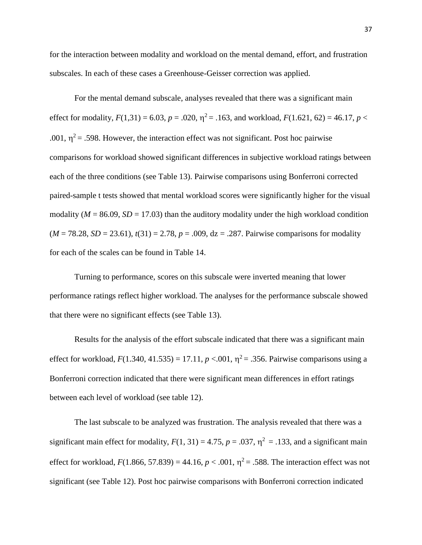for the interaction between modality and workload on the mental demand, effort, and frustration subscales. In each of these cases a Greenhouse-Geisser correction was applied.

For the mental demand subscale, analyses revealed that there was a significant main effect for modality,  $F(1,31) = 6.03$ ,  $p = .020$ ,  $\eta^2 = .163$ , and workload,  $F(1.621, 62) = 46.17$ ,  $p <$ .001,  $\eta^2$  = .598. However, the interaction effect was not significant. Post hoc pairwise comparisons for workload showed significant differences in subjective workload ratings between each of the three conditions (see Table 13). Pairwise comparisons using Bonferroni corrected paired-sample t tests showed that mental workload scores were significantly higher for the visual modality ( $M = 86.09$ ,  $SD = 17.03$ ) than the auditory modality under the high workload condition (*M* = 78.28, *SD* = 23.61), *t*(31) = 2.78, *p* = .009, dz = .287. Pairwise comparisons for modality for each of the scales can be found in Table 14.

Turning to performance, scores on this subscale were inverted meaning that lower performance ratings reflect higher workload. The analyses for the performance subscale showed that there were no significant effects (see Table 13).

Results for the analysis of the effort subscale indicated that there was a significant main effect for workload,  $F(1.340, 41.535) = 17.11, p < .001, \eta^2 = .356$ . Pairwise comparisons using a Bonferroni correction indicated that there were significant mean differences in effort ratings between each level of workload (see table 12).

The last subscale to be analyzed was frustration. The analysis revealed that there was a significant main effect for modality,  $F(1, 31) = 4.75$ ,  $p = .037$ ,  $\eta^2 = .133$ , and a significant main effect for workload,  $F(1.866, 57.839) = 44.16$ ,  $p < .001$ ,  $\eta^2 = .588$ . The interaction effect was not significant (see Table 12). Post hoc pairwise comparisons with Bonferroni correction indicated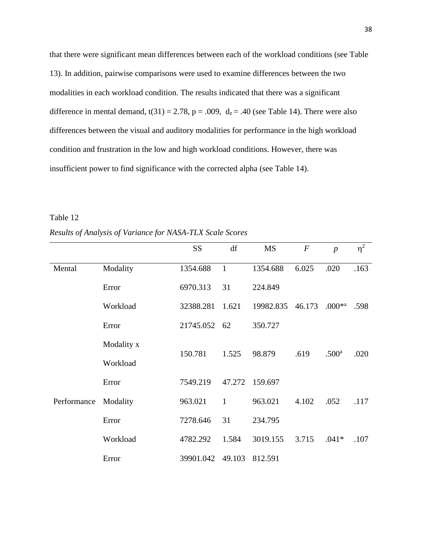that there were significant mean differences between each of the workload conditions (see Table 13). In addition, pairwise comparisons were used to examine differences between the two modalities in each workload condition. The results indicated that there was a significant difference in mental demand,  $t(31) = 2.78$ ,  $p = .009$ ,  $d_z = .40$  (see Table 14). There were also differences between the visual and auditory modalities for performance in the high workload condition and frustration in the low and high workload conditions. However, there was insufficient power to find significance with the corrected alpha (see Table 14).

Table 12

*Results of Analysis of Variance for NASA-TLX Scale Scores*

|             |            | <b>SS</b> | df           | <b>MS</b> | $\boldsymbol{F}$ | $\boldsymbol{p}$     | $\eta^2$ |
|-------------|------------|-----------|--------------|-----------|------------------|----------------------|----------|
| Mental      | Modality   | 1354.688  | $\mathbf{1}$ | 1354.688  | 6.025            | .020                 | .163     |
|             | Error      | 6970.313  | 31           | 224.849   |                  |                      |          |
|             | Workload   | 32388.281 | 1.621        | 19982.835 | 46.173           | $.000*^{\mathrm{a}}$ | .598     |
|             | Error      | 21745.052 | 62           | 350.727   |                  |                      |          |
|             | Modality x | 150.781   | 1.525        | 98.879    | .619             | .500 <sup>a</sup>    | .020     |
|             | Workload   |           |              |           |                  |                      |          |
|             | Error      | 7549.219  | 47.272       | 159.697   |                  |                      |          |
| Performance | Modality   | 963.021   | $\mathbf{1}$ | 963.021   | 4.102            | .052                 | .117     |
|             | Error      | 7278.646  | 31           | 234.795   |                  |                      |          |
|             | Workload   | 4782.292  | 1.584        | 3019.155  | 3.715            | $.041*$              | .107     |
|             | Error      | 39901.042 | 49.103       | 812.591   |                  |                      |          |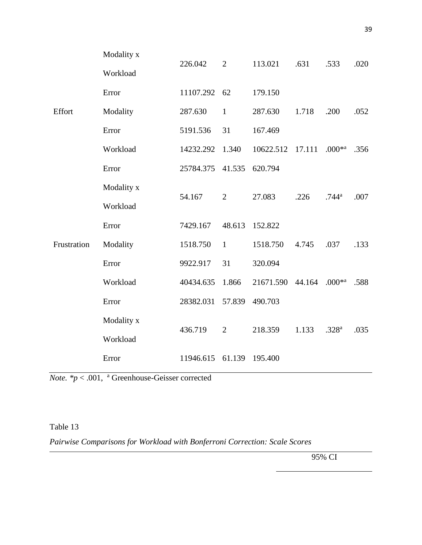|             | Modality x | 226.042   |                |                  | .631   | .533                 | .020 |  |
|-------------|------------|-----------|----------------|------------------|--------|----------------------|------|--|
|             | Workload   |           | $\overline{2}$ | 113.021          |        |                      |      |  |
|             | Error      | 11107.292 | 62             | 179.150          |        |                      |      |  |
| Effort      | Modality   | 287.630   | $\mathbf{1}$   | 287.630          | 1.718  | .200                 | .052 |  |
|             | Error      | 5191.536  | 31             | 167.469          |        |                      |      |  |
|             | Workload   | 14232.292 | 1.340          | 10622.512        | 17.111 | $.000*$ <sup>a</sup> | .356 |  |
|             | Error      | 25784.375 | 41.535         | 620.794          |        |                      |      |  |
|             | Modality x | 54.167    | $\overline{2}$ | 27.083           | .226   | $.744^{\rm a}$       | .007 |  |
|             | Workload   |           |                |                  |        |                      |      |  |
|             | Error      | 7429.167  | 48.613         | 152.822          |        |                      |      |  |
| Frustration | Modality   | 1518.750  | $\mathbf{1}$   | 1518.750         | 4.745  | .037                 | .133 |  |
|             | Error      | 9922.917  | 31             | 320.094          |        |                      |      |  |
|             | Workload   | 40434.635 | 1.866          | 21671.590 44.164 |        | $.000*$ <sup>a</sup> | .588 |  |
|             | Error      | 28382.031 | 57.839         | 490.703          |        |                      |      |  |
|             | Modality x | 436.719   | 2              | 218.359          | 1.133  | .328 <sup>a</sup>    | .035 |  |
|             | Workload   |           |                |                  |        |                      |      |  |
|             | Error      | 11946.615 | 61.139         | 195.400          |        |                      |      |  |
|             |            |           |                |                  |        |                      |      |  |

*Note. \*p* < .001, <sup>a</sup> Greenhouse-Geisser corrected

Table 13

*Pairwise Comparisons for Workload with Bonferroni Correction: Scale Scores*

95% CI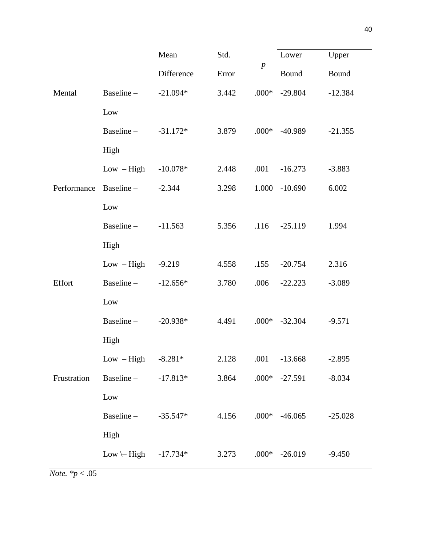|             |                        | Mean       | Std.  |                  | Lower           | Upper     |  |
|-------------|------------------------|------------|-------|------------------|-----------------|-----------|--|
|             |                        | Difference | Error | $\boldsymbol{p}$ | Bound           | Bound     |  |
| Mental      | Baseline-              | $-21.094*$ | 3.442 | $.000*$          | $-29.804$       | $-12.384$ |  |
|             | Low                    |            |       |                  |                 |           |  |
|             | Baseline-              | $-31.172*$ | 3.879 | $.000*$          | $-40.989$       | $-21.355$ |  |
|             | High                   |            |       |                  |                 |           |  |
|             | $Low - High$           | $-10.078*$ | 2.448 | .001             | $-16.273$       | $-3.883$  |  |
| Performance | Baseline-              | $-2.344$   | 3.298 | 1.000            | $-10.690$       | 6.002     |  |
|             | Low                    |            |       |                  |                 |           |  |
|             | Baseline-              | $-11.563$  | 5.356 | .116             | $-25.119$       | 1.994     |  |
|             | High                   |            |       |                  |                 |           |  |
|             | $Low - High$           | $-9.219$   | 4.558 | .155             | $-20.754$       | 2.316     |  |
| Effort      | Baseline-              | $-12.656*$ | 3.780 | .006             | $-22.223$       | $-3.089$  |  |
|             | Low                    |            |       |                  |                 |           |  |
|             | Baseline-              | $-20.938*$ | 4.491 |                  | $.000* -32.304$ | $-9.571$  |  |
|             | High                   |            |       |                  |                 |           |  |
|             | $Low - High$           | $-8.281*$  | 2.128 | .001             | $-13.668$       | $-2.895$  |  |
| Frustration | Baseline-              | $-17.813*$ | 3.864 | $.000*$          | $-27.591$       | $-8.034$  |  |
|             | $_{\rm Low}$           |            |       |                  |                 |           |  |
|             | Baseline-              | $-35.547*$ | 4.156 | $.000*$          | $-46.065$       | $-25.028$ |  |
|             | High                   |            |       |                  |                 |           |  |
|             | $Low \rightarrow High$ | $-17.734*$ | 3.273 |                  | $.000* -26.019$ | $-9.450$  |  |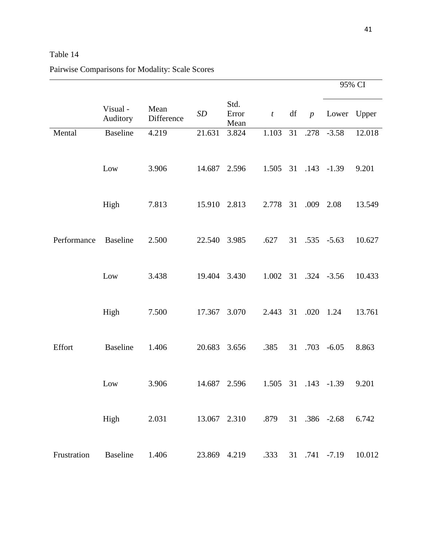# Table 14

# Pairwise Comparisons for Modality: Scale Scores

|             |                     |                    |              |                       |                  |    |                 |               | 95% CI |
|-------------|---------------------|--------------------|--------------|-----------------------|------------------|----|-----------------|---------------|--------|
|             | Visual-<br>Auditory | Mean<br>Difference | SD           | Std.<br>Error<br>Mean | $\boldsymbol{t}$ | df | $p_{\parallel}$ | Lower Upper   |        |
| Mental      | <b>Baseline</b>     | 4.219              | 21.631       | 3.824                 | 1.103            | 31 | .278            | $-3.58$       | 12.018 |
|             | Low                 | 3.906              | 14.687       | 2.596                 | 1.505            |    |                 | 31 .143 -1.39 | 9.201  |
|             | High                | 7.813              | 15.910       | 2.813                 | 2.778            | 31 | .009 2.08       |               | 13.549 |
|             |                     |                    |              |                       |                  |    |                 |               |        |
| Performance | <b>Baseline</b>     | 2.500              | 22.540       | 3.985                 | .627             | 31 |                 | $.535 - 5.63$ | 10.627 |
|             | Low                 | 3.438              | 19.404       | 3.430                 | 1.002            |    |                 | 31 .324 -3.56 | 10.433 |
|             |                     |                    |              |                       |                  |    |                 |               |        |
|             | High                | 7.500              | 17.367       | 3.070                 | 2.443            | 31 | .020            | 1.24          | 13.761 |
| Effort      | <b>Baseline</b>     | 1.406              | 20.683       | 3.656                 | .385             | 31 | .703            | $-6.05$       | 8.863  |
|             | Low                 | 3.906              | 14.687       | 2.596                 | 1.505            | 31 | .143            | $-1.39$       | 9.201  |
|             | High                | 2.031              | 13.067 2.310 |                       | .879             |    |                 | 31 .386 -2.68 | 6.742  |
|             |                     |                    |              |                       |                  |    |                 |               |        |
| Frustration | <b>Baseline</b>     | 1.406              | 23.869 4.219 |                       | .333             |    |                 | 31 .741 -7.19 | 10.012 |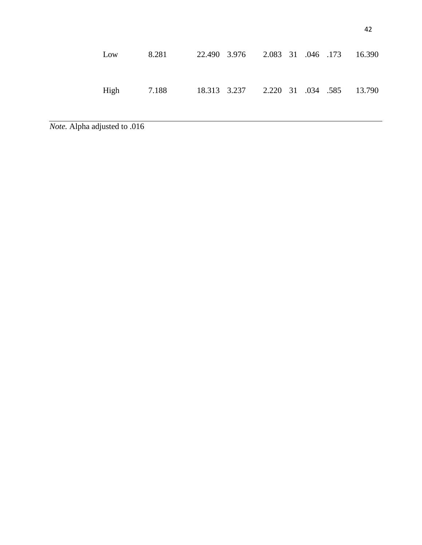| Low | 8.281                                             | 22.490 3.976 2.083 31 .046 .173 16.390 |  |  |  |
|-----|---------------------------------------------------|----------------------------------------|--|--|--|
|     | High 7.188 18.313 3.237 2.220 31 .034 .585 13.790 |                                        |  |  |  |

*Note.* Alpha adjusted to .016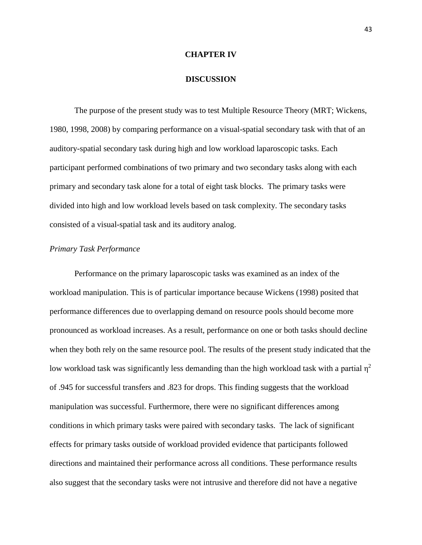#### **CHAPTER IV**

#### **DISCUSSION**

The purpose of the present study was to test Multiple Resource Theory (MRT; Wickens, 1980, 1998, 2008) by comparing performance on a visual-spatial secondary task with that of an auditory-spatial secondary task during high and low workload laparoscopic tasks. Each participant performed combinations of two primary and two secondary tasks along with each primary and secondary task alone for a total of eight task blocks. The primary tasks were divided into high and low workload levels based on task complexity. The secondary tasks consisted of a visual-spatial task and its auditory analog.

#### *Primary Task Performance*

Performance on the primary laparoscopic tasks was examined as an index of the workload manipulation. This is of particular importance because Wickens (1998) posited that performance differences due to overlapping demand on resource pools should become more pronounced as workload increases. As a result, performance on one or both tasks should decline when they both rely on the same resource pool. The results of the present study indicated that the low workload task was significantly less demanding than the high workload task with a partial  $\eta^2$ of .945 for successful transfers and .823 for drops. This finding suggests that the workload manipulation was successful. Furthermore, there were no significant differences among conditions in which primary tasks were paired with secondary tasks. The lack of significant effects for primary tasks outside of workload provided evidence that participants followed directions and maintained their performance across all conditions. These performance results also suggest that the secondary tasks were not intrusive and therefore did not have a negative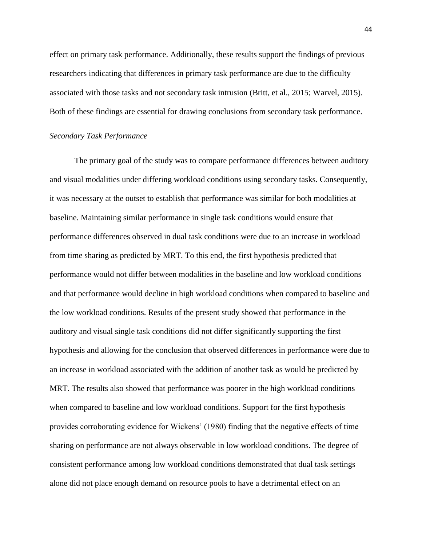effect on primary task performance. Additionally, these results support the findings of previous researchers indicating that differences in primary task performance are due to the difficulty associated with those tasks and not secondary task intrusion (Britt, et al., 2015; Warvel, 2015). Both of these findings are essential for drawing conclusions from secondary task performance.

#### *Secondary Task Performance*

The primary goal of the study was to compare performance differences between auditory and visual modalities under differing workload conditions using secondary tasks. Consequently, it was necessary at the outset to establish that performance was similar for both modalities at baseline. Maintaining similar performance in single task conditions would ensure that performance differences observed in dual task conditions were due to an increase in workload from time sharing as predicted by MRT. To this end, the first hypothesis predicted that performance would not differ between modalities in the baseline and low workload conditions and that performance would decline in high workload conditions when compared to baseline and the low workload conditions. Results of the present study showed that performance in the auditory and visual single task conditions did not differ significantly supporting the first hypothesis and allowing for the conclusion that observed differences in performance were due to an increase in workload associated with the addition of another task as would be predicted by MRT. The results also showed that performance was poorer in the high workload conditions when compared to baseline and low workload conditions. Support for the first hypothesis provides corroborating evidence for Wickens' (1980) finding that the negative effects of time sharing on performance are not always observable in low workload conditions. The degree of consistent performance among low workload conditions demonstrated that dual task settings alone did not place enough demand on resource pools to have a detrimental effect on an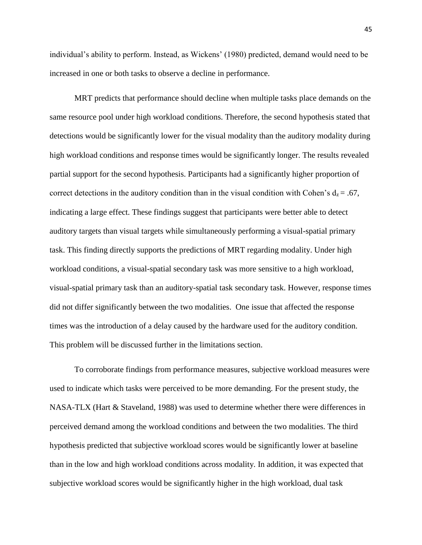individual's ability to perform. Instead, as Wickens' (1980) predicted, demand would need to be increased in one or both tasks to observe a decline in performance.

MRT predicts that performance should decline when multiple tasks place demands on the same resource pool under high workload conditions. Therefore, the second hypothesis stated that detections would be significantly lower for the visual modality than the auditory modality during high workload conditions and response times would be significantly longer. The results revealed partial support for the second hypothesis. Participants had a significantly higher proportion of correct detections in the auditory condition than in the visual condition with Cohen's  $d_z = .67$ , indicating a large effect. These findings suggest that participants were better able to detect auditory targets than visual targets while simultaneously performing a visual-spatial primary task. This finding directly supports the predictions of MRT regarding modality. Under high workload conditions, a visual-spatial secondary task was more sensitive to a high workload, visual-spatial primary task than an auditory-spatial task secondary task. However, response times did not differ significantly between the two modalities. One issue that affected the response times was the introduction of a delay caused by the hardware used for the auditory condition. This problem will be discussed further in the limitations section.

To corroborate findings from performance measures, subjective workload measures were used to indicate which tasks were perceived to be more demanding. For the present study, the NASA-TLX (Hart & Staveland, 1988) was used to determine whether there were differences in perceived demand among the workload conditions and between the two modalities. The third hypothesis predicted that subjective workload scores would be significantly lower at baseline than in the low and high workload conditions across modality. In addition, it was expected that subjective workload scores would be significantly higher in the high workload, dual task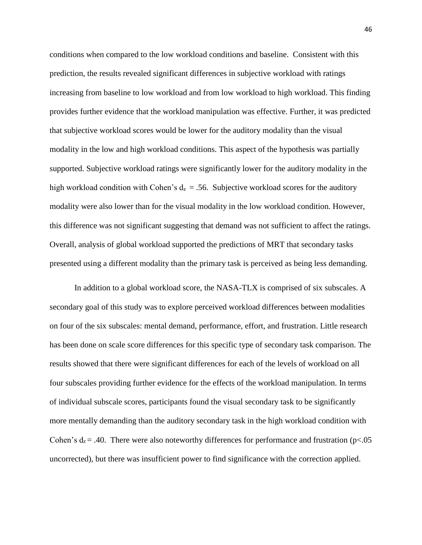conditions when compared to the low workload conditions and baseline. Consistent with this prediction, the results revealed significant differences in subjective workload with ratings increasing from baseline to low workload and from low workload to high workload. This finding provides further evidence that the workload manipulation was effective. Further, it was predicted that subjective workload scores would be lower for the auditory modality than the visual modality in the low and high workload conditions. This aspect of the hypothesis was partially supported. Subjective workload ratings were significantly lower for the auditory modality in the high workload condition with Cohen's  $d_z = .56$ . Subjective workload scores for the auditory modality were also lower than for the visual modality in the low workload condition. However, this difference was not significant suggesting that demand was not sufficient to affect the ratings. Overall, analysis of global workload supported the predictions of MRT that secondary tasks presented using a different modality than the primary task is perceived as being less demanding.

In addition to a global workload score, the NASA-TLX is comprised of six subscales. A secondary goal of this study was to explore perceived workload differences between modalities on four of the six subscales: mental demand, performance, effort, and frustration. Little research has been done on scale score differences for this specific type of secondary task comparison. The results showed that there were significant differences for each of the levels of workload on all four subscales providing further evidence for the effects of the workload manipulation. In terms of individual subscale scores, participants found the visual secondary task to be significantly more mentally demanding than the auditory secondary task in the high workload condition with Cohen's  $d_z = .40$ . There were also noteworthy differences for performance and frustration (p<.05) uncorrected), but there was insufficient power to find significance with the correction applied.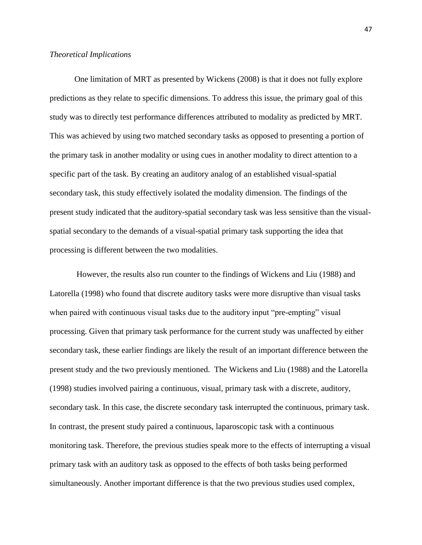#### *Theoretical Implications*

One limitation of MRT as presented by Wickens (2008) is that it does not fully explore predictions as they relate to specific dimensions. To address this issue, the primary goal of this study was to directly test performance differences attributed to modality as predicted by MRT. This was achieved by using two matched secondary tasks as opposed to presenting a portion of the primary task in another modality or using cues in another modality to direct attention to a specific part of the task. By creating an auditory analog of an established visual-spatial secondary task, this study effectively isolated the modality dimension. The findings of the present study indicated that the auditory-spatial secondary task was less sensitive than the visualspatial secondary to the demands of a visual-spatial primary task supporting the idea that processing is different between the two modalities.

However, the results also run counter to the findings of Wickens and Liu (1988) and Latorella (1998) who found that discrete auditory tasks were more disruptive than visual tasks when paired with continuous visual tasks due to the auditory input "pre-empting" visual processing. Given that primary task performance for the current study was unaffected by either secondary task, these earlier findings are likely the result of an important difference between the present study and the two previously mentioned. The Wickens and Liu (1988) and the Latorella (1998) studies involved pairing a continuous, visual, primary task with a discrete, auditory, secondary task. In this case, the discrete secondary task interrupted the continuous, primary task. In contrast, the present study paired a continuous, laparoscopic task with a continuous monitoring task. Therefore, the previous studies speak more to the effects of interrupting a visual primary task with an auditory task as opposed to the effects of both tasks being performed simultaneously. Another important difference is that the two previous studies used complex,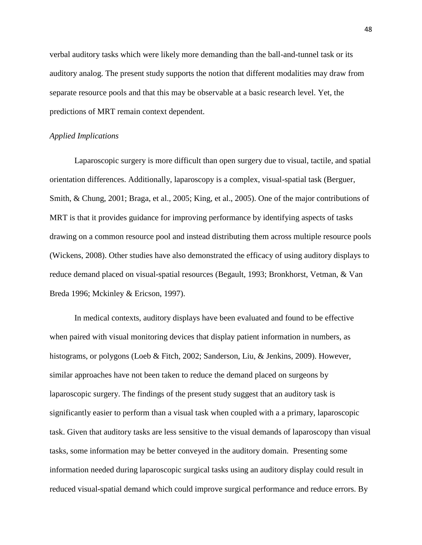verbal auditory tasks which were likely more demanding than the ball-and-tunnel task or its auditory analog. The present study supports the notion that different modalities may draw from separate resource pools and that this may be observable at a basic research level. Yet, the predictions of MRT remain context dependent.

## *Applied Implications*

Laparoscopic surgery is more difficult than open surgery due to visual, tactile, and spatial orientation differences. Additionally, laparoscopy is a complex, visual-spatial task (Berguer, Smith, & Chung, 2001; Braga, et al., 2005; King, et al., 2005). One of the major contributions of MRT is that it provides guidance for improving performance by identifying aspects of tasks drawing on a common resource pool and instead distributing them across multiple resource pools (Wickens, 2008). Other studies have also demonstrated the efficacy of using auditory displays to reduce demand placed on visual-spatial resources (Begault, 1993; Bronkhorst, Vetman, & Van Breda 1996; Mckinley & Ericson, 1997).

In medical contexts, auditory displays have been evaluated and found to be effective when paired with visual monitoring devices that display patient information in numbers, as histograms, or polygons (Loeb & Fitch, 2002; Sanderson, Liu, & Jenkins, 2009). However, similar approaches have not been taken to reduce the demand placed on surgeons by laparoscopic surgery. The findings of the present study suggest that an auditory task is significantly easier to perform than a visual task when coupled with a a primary, laparoscopic task. Given that auditory tasks are less sensitive to the visual demands of laparoscopy than visual tasks, some information may be better conveyed in the auditory domain. Presenting some information needed during laparoscopic surgical tasks using an auditory display could result in reduced visual-spatial demand which could improve surgical performance and reduce errors. By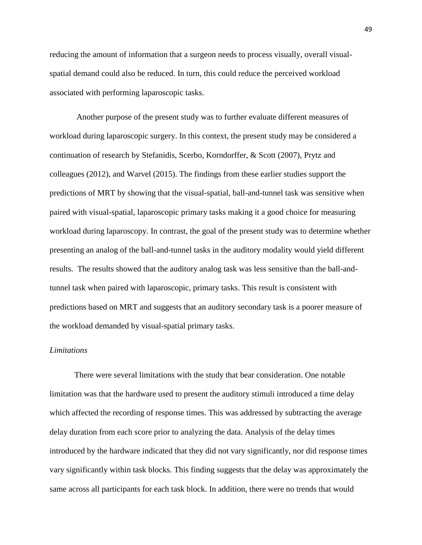reducing the amount of information that a surgeon needs to process visually, overall visualspatial demand could also be reduced. In turn, this could reduce the perceived workload associated with performing laparoscopic tasks.

Another purpose of the present study was to further evaluate different measures of workload during laparoscopic surgery. In this context, the present study may be considered a continuation of research by Stefanidis, Scerbo, Korndorffer, & Scott (2007), Prytz and colleagues (2012), and Warvel (2015). The findings from these earlier studies support the predictions of MRT by showing that the visual-spatial, ball-and-tunnel task was sensitive when paired with visual-spatial, laparoscopic primary tasks making it a good choice for measuring workload during laparoscopy. In contrast, the goal of the present study was to determine whether presenting an analog of the ball-and-tunnel tasks in the auditory modality would yield different results. The results showed that the auditory analog task was less sensitive than the ball-andtunnel task when paired with laparoscopic, primary tasks. This result is consistent with predictions based on MRT and suggests that an auditory secondary task is a poorer measure of the workload demanded by visual-spatial primary tasks.

#### *Limitations*

There were several limitations with the study that bear consideration. One notable limitation was that the hardware used to present the auditory stimuli introduced a time delay which affected the recording of response times. This was addressed by subtracting the average delay duration from each score prior to analyzing the data. Analysis of the delay times introduced by the hardware indicated that they did not vary significantly, nor did response times vary significantly within task blocks. This finding suggests that the delay was approximately the same across all participants for each task block. In addition, there were no trends that would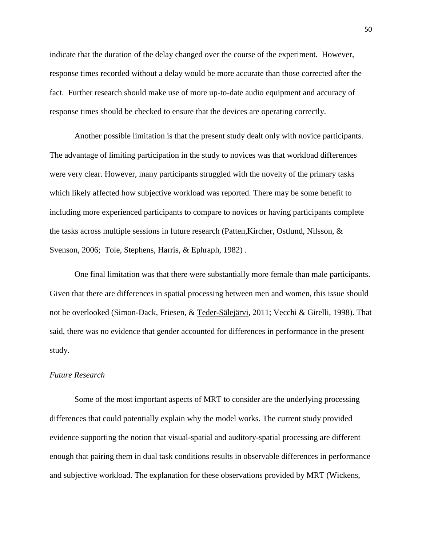indicate that the duration of the delay changed over the course of the experiment. However, response times recorded without a delay would be more accurate than those corrected after the fact. Further research should make use of more up-to-date audio equipment and accuracy of response times should be checked to ensure that the devices are operating correctly.

Another possible limitation is that the present study dealt only with novice participants. The advantage of limiting participation in the study to novices was that workload differences were very clear. However, many participants struggled with the novelty of the primary tasks which likely affected how subjective workload was reported. There may be some benefit to including more experienced participants to compare to novices or having participants complete the tasks across multiple sessions in future research (Patten,Kircher, Ostlund, Nilsson, & Svenson, 2006; Tole, Stephens, Harris, & Ephraph, 1982) .

One final limitation was that there were substantially more female than male participants. Given that there are differences in spatial processing between men and women, this issue should not be overlooked (Simon-Dack, Friesen, & [Teder-Sälejärvi,](https://www.ncbi.nlm.nih.gov/pubmed/?term=Teder-S%26%23x000e4%3Blej%26%23x000e4%3Brvi%20WA%5BAuthor%5D&cauthor=true&cauthor_uid=19151595) 2011; Vecchi & Girelli, 1998). That said, there was no evidence that gender accounted for differences in performance in the present study.

# *Future Research*

Some of the most important aspects of MRT to consider are the underlying processing differences that could potentially explain why the model works. The current study provided evidence supporting the notion that visual-spatial and auditory-spatial processing are different enough that pairing them in dual task conditions results in observable differences in performance and subjective workload. The explanation for these observations provided by MRT (Wickens,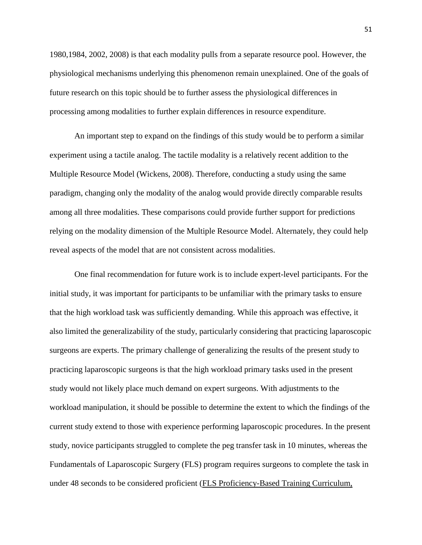1980,1984, 2002, 2008) is that each modality pulls from a separate resource pool. However, the physiological mechanisms underlying this phenomenon remain unexplained. One of the goals of future research on this topic should be to further assess the physiological differences in processing among modalities to further explain differences in resource expenditure.

An important step to expand on the findings of this study would be to perform a similar experiment using a tactile analog. The tactile modality is a relatively recent addition to the Multiple Resource Model (Wickens, 2008). Therefore, conducting a study using the same paradigm, changing only the modality of the analog would provide directly comparable results among all three modalities. These comparisons could provide further support for predictions relying on the modality dimension of the Multiple Resource Model. Alternately, they could help reveal aspects of the model that are not consistent across modalities.

One final recommendation for future work is to include expert-level participants. For the initial study, it was important for participants to be unfamiliar with the primary tasks to ensure that the high workload task was sufficiently demanding. While this approach was effective, it also limited the generalizability of the study, particularly considering that practicing laparoscopic surgeons are experts. The primary challenge of generalizing the results of the present study to practicing laparoscopic surgeons is that the high workload primary tasks used in the present study would not likely place much demand on expert surgeons. With adjustments to the workload manipulation, it should be possible to determine the extent to which the findings of the current study extend to those with experience performing laparoscopic procedures. In the present study, novice participants struggled to complete the peg transfer task in 10 minutes, whereas the Fundamentals of Laparoscopic Surgery (FLS) program requires surgeons to complete the task in under 48 seconds to be considered proficient (FLS Proficiency-Based Training Curriculum,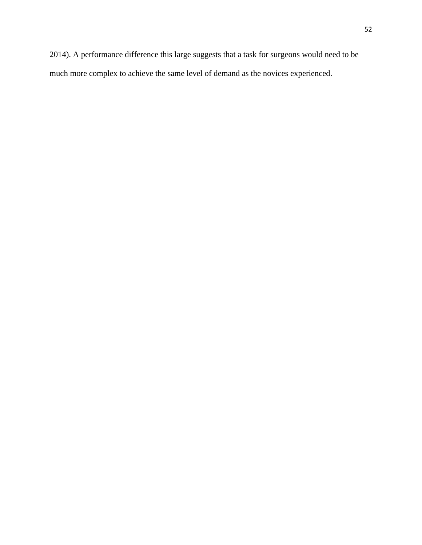2014). A performance difference this large suggests that a task for surgeons would need to be much more complex to achieve the same level of demand as the novices experienced.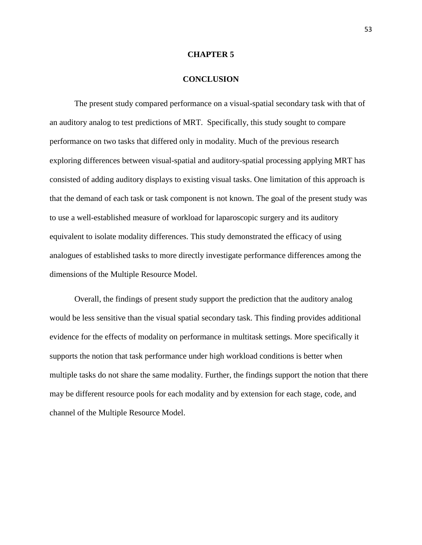#### **CHAPTER 5**

#### **CONCLUSION**

The present study compared performance on a visual-spatial secondary task with that of an auditory analog to test predictions of MRT. Specifically, this study sought to compare performance on two tasks that differed only in modality. Much of the previous research exploring differences between visual-spatial and auditory-spatial processing applying MRT has consisted of adding auditory displays to existing visual tasks. One limitation of this approach is that the demand of each task or task component is not known. The goal of the present study was to use a well-established measure of workload for laparoscopic surgery and its auditory equivalent to isolate modality differences. This study demonstrated the efficacy of using analogues of established tasks to more directly investigate performance differences among the dimensions of the Multiple Resource Model.

Overall, the findings of present study support the prediction that the auditory analog would be less sensitive than the visual spatial secondary task. This finding provides additional evidence for the effects of modality on performance in multitask settings. More specifically it supports the notion that task performance under high workload conditions is better when multiple tasks do not share the same modality. Further, the findings support the notion that there may be different resource pools for each modality and by extension for each stage, code, and channel of the Multiple Resource Model.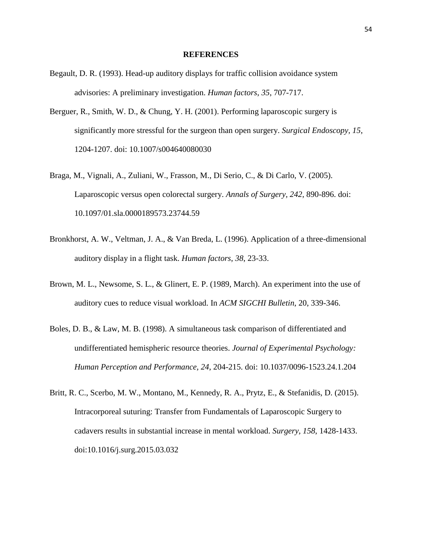#### **REFERENCES**

- Begault, D. R. (1993). Head-up auditory displays for traffic collision avoidance system advisories: A preliminary investigation. *Human factors*, *35*, 707-717.
- Berguer, R., Smith, W. D., & Chung, Y. H. (2001). Performing laparoscopic surgery is significantly more stressful for the surgeon than open surgery. *Surgical Endoscopy, 15*, 1204-1207. doi: 10.1007/s004640080030
- Braga, M., Vignali, A., Zuliani, W., Frasson, M., Di Serio, C., & Di Carlo, V. (2005). Laparoscopic versus open colorectal surgery. *Annals of Surgery, 242*, 890-896. doi: 10.1097/01.sla.0000189573.23744.59
- Bronkhorst, A. W., Veltman, J. A., & Van Breda, L. (1996). Application of a three-dimensional auditory display in a flight task. *Human factors*, *38*, 23-33.
- Brown, M. L., Newsome, S. L., & Glinert, E. P. (1989, March). An experiment into the use of auditory cues to reduce visual workload. In *ACM SIGCHI Bulletin*, 20, 339-346.
- Boles, D. B., & Law, M. B. (1998). A simultaneous task comparison of differentiated and undifferentiated hemispheric resource theories. *Journal of Experimental Psychology: Human Perception and Performance, 24*, 204-215. doi: 10.1037/0096-1523.24.1.204
- Britt, R. C., Scerbo, M. W., Montano, M., Kennedy, R. A., Prytz, E., & Stefanidis, D. (2015). Intracorporeal suturing: Transfer from Fundamentals of Laparoscopic Surgery to cadavers results in substantial increase in mental workload. *Surgery, 158*, 1428-1433. doi:10.1016/j.surg.2015.03.032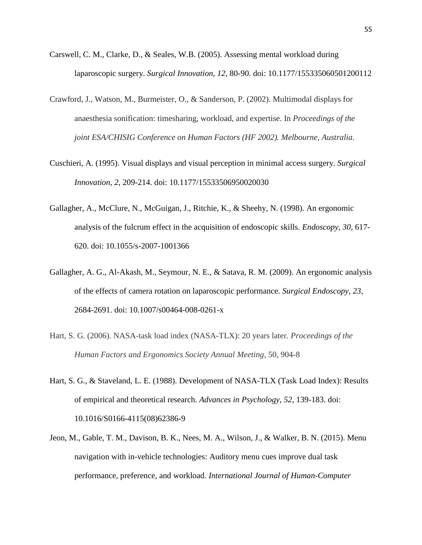- Carswell, C. M., Clarke, D., & Seales, W.B. (2005). Assessing mental workload during laparoscopic surgery. *Surgical Innovation, 12*, 80-90. doi: 10.1177/155335060501200112
- Crawford, J., Watson, M., Burmeister, O., & Sanderson, P. (2002). Multimodal displays for anaesthesia sonification: timesharing, workload, and expertise. In *Proceedings of the joint ESA/CHISIG Conference on Human Factors (HF 2002). Melbourne, Australia.*
- Cuschieri, A. (1995). Visual displays and visual perception in minimal access surgery. *Surgical Innovation, 2*, 209-214. doi: 10.1177/15533506950020030
- Gallagher, A., McClure, N., McGuigan, J., Ritchie, K., & Sheehy, N. (1998). An ergonomic analysis of the fulcrum effect in the acquisition of endoscopic skills. *Endoscopy, 30*, 617- 620. doi: 10.1055/s-2007-1001366
- Gallagher, A. G., Al-Akash, M., Seymour, N. E., & Satava, R. M. (2009). An ergonomic analysis of the effects of camera rotation on laparoscopic performance. *Surgical Endoscopy, 23*, 2684-2691. doi: 10.1007/s00464-008-0261-x
- Hart, S. G. (2006). NASA-task load index (NASA-TLX): 20 years later*. Proceedings of the Human Factors and Ergonomics Society Annual Meeting*, 50, 904-8
- Hart, S. G., & Staveland, L. E. (1988). Development of NASA-TLX (Task Load Index): Results of empirical and theoretical research. *Advances in Psychology, 52*, 139-183. doi: 10.1016/S0166-4115(08)62386-9
- Jeon, M., Gable, T. M., Davison, B. K., Nees, M. A., Wilson, J., & Walker, B. N. (2015). Menu navigation with in-vehicle technologies: Auditory menu cues improve dual task performance, preference, and workload. *International Journal of Human-Computer*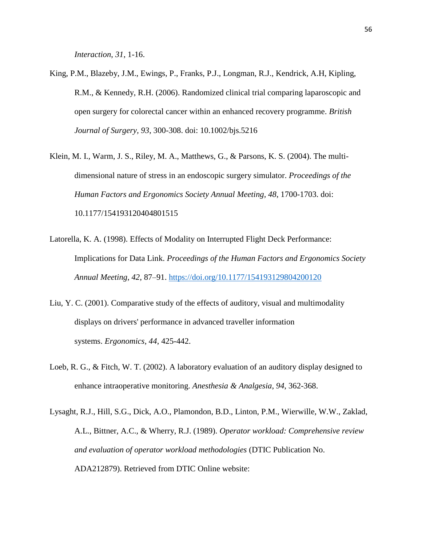*Interaction*, *31*, 1-16.

- King, P.M., Blazeby, J.M., Ewings, P., Franks, P.J., Longman, R.J., Kendrick, A.H, Kipling, R.M., & Kennedy, R.H. (2006). Randomized clinical trial comparing laparoscopic and open surgery for colorectal cancer within an enhanced recovery programme. *British Journal of Surgery, 93*, 300-308. doi: 10.1002/bjs.5216
- Klein, M. I., Warm, J. S., Riley, M. A., Matthews, G., & Parsons, K. S. (2004). The multidimensional nature of stress in an endoscopic surgery simulator. *Proceedings of the Human Factors and Ergonomics Society Annual Meeting, 48*, 1700-1703. doi: 10.1177/154193120404801515
- Latorella, K. A. (1998). Effects of Modality on Interrupted Flight Deck Performance: Implications for Data Link. *Proceedings of the Human Factors and Ergonomics Society Annual Meeting*, *42*, 87–91. <https://doi.org/10.1177/154193129804200120>
- Liu, Y. C. (2001). Comparative study of the effects of auditory, visual and multimodality displays on drivers' performance in advanced traveller information systems. *Ergonomics*, *44*, 425-442.
- Loeb, R. G., & Fitch, W. T. (2002). A laboratory evaluation of an auditory display designed to enhance intraoperative monitoring. *Anesthesia & Analgesia*, *94*, 362-368.
- Lysaght, R.J., Hill, S.G., Dick, A.O., Plamondon, B.D., Linton, P.M., Wierwille, W.W., Zaklad, A.L., Bittner, A.C., & Wherry, R.J. (1989). *Operator workload: Comprehensive review and evaluation of operator workload methodologies* (DTIC Publication No. ADA212879). Retrieved from DTIC Online website: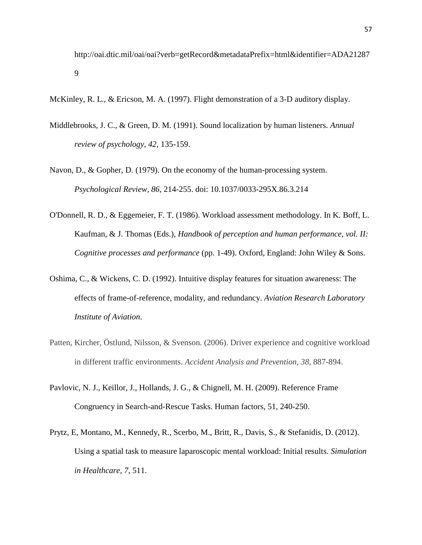http://oai.dtic.mil/oai/oai?verb=getRecord&metadataPrefix=html&identifier=ADA21287 9

McKinley, R. L., & Ericson, M. A. (1997). Flight demonstration of a 3-D auditory display.

- Middlebrooks, J. C., & Green, D. M. (1991). Sound localization by human listeners. *Annual review of psychology*, *42*, 135-159.
- Navon, D., & Gopher, D. (1979). On the economy of the human-processing system. *Psychological Review, 86*, 214-255. doi: 10.1037/0033-295X.86.3.214
- O'Donnell, R. D., & Eggemeier, F. T. (1986). Workload assessment methodology. In K. Boff, L. Kaufman, & J. Thomas (Eds.), *Handbook of perception and human performance, vol. II: Cognitive processes and performance* (pp. 1-49). Oxford, England: John Wiley & Sons.
- Oshima, C., & Wickens, C. D. (1992). Intuitive display features for situation awareness: The effects of frame-of-reference, modality, and redundancy. *Aviation Research Laboratory Institute of Aviation*.
- Patten, Kircher, Östlund, Nilsson, & Svenson. (2006). Driver experience and cognitive workload in different traffic environments. *Accident Analysis and Prevention, 38*, 887-894.
- Pavlovic, N. J., Keillor, J., Hollands, J. G., & Chignell, M. H. (2009). Reference Frame Congruency in Search-and-Rescue Tasks. Human factors, 51, 240-250.
- Prytz, E, Montano, M., Kennedy, R., Scerbo, M., Britt, R., Davis, S., & Stefanidis, D. (2012). Using a spatial task to measure laparoscopic mental workload: Initial results. *Simulation in Healthcare, 7*, 511.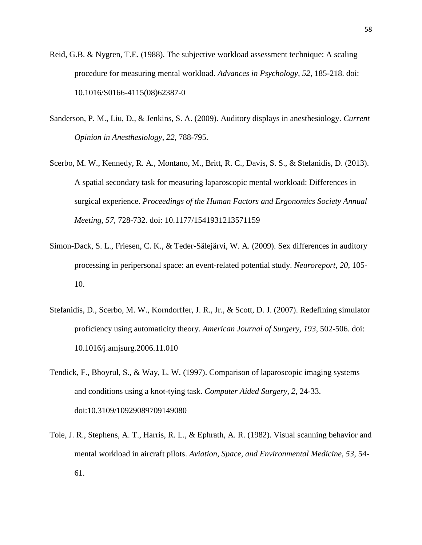- Reid, G.B. & Nygren, T.E. (1988). The subjective workload assessment technique: A scaling procedure for measuring mental workload. *Advances in Psychology, 52,* 185-218. doi: 10.1016/S0166-4115(08)62387-0
- Sanderson, P. M., Liu, D., & Jenkins, S. A. (2009). Auditory displays in anesthesiology. *Current Opinion in Anesthesiology*, *22*, 788-795.
- Scerbo, M. W., Kennedy, R. A., Montano, M., Britt, R. C., Davis, S. S., & Stefanidis, D. (2013). A spatial secondary task for measuring laparoscopic mental workload: Differences in surgical experience. *Proceedings of the Human Factors and Ergonomics Society Annual Meeting, 57*, 728-732. doi: 10.1177/1541931213571159
- Simon-Dack, S. L., Friesen, C. K., & Teder-Sälejärvi, W. A. (2009). Sex differences in auditory processing in peripersonal space: an event-related potential study. *Neuroreport*, *20*, 105- 10.
- Stefanidis, D., Scerbo, M. W., Korndorffer, J. R., Jr., & Scott, D. J. (2007). Redefining simulator proficiency using automaticity theory. *American Journal of Surgery, 193*, 502-506. doi: 10.1016/j.amjsurg.2006.11.010
- Tendick, F., Bhoyrul, S., & Way, L. W. (1997). Comparison of laparoscopic imaging systems and conditions using a knot-tying task. *Computer Aided Surgery, 2*, 24-33. doi:10.3109/10929089709149080
- Tole, J. R., Stephens, A. T., Harris, R. L., & Ephrath, A. R. (1982). Visual scanning behavior and mental workload in aircraft pilots. *Aviation, Space, and Environmental Medicine, 53*, 54- 61.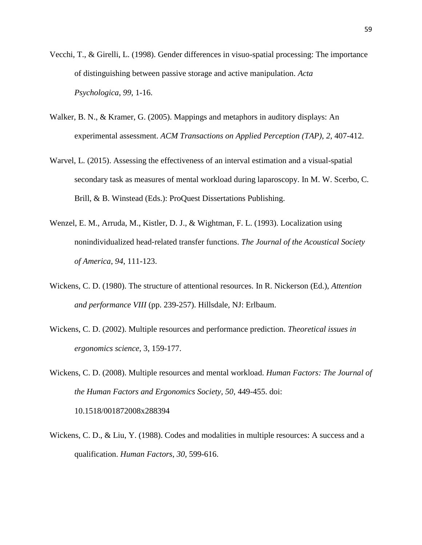- Vecchi, T., & Girelli, L. (1998). Gender differences in visuo-spatial processing: The importance of distinguishing between passive storage and active manipulation. *Acta Psychologica*, *99*, 1-16.
- Walker, B. N., & Kramer, G. (2005). Mappings and metaphors in auditory displays: An experimental assessment. *ACM Transactions on Applied Perception (TAP)*, *2*, 407-412.
- Warvel, L. (2015). Assessing the effectiveness of an interval estimation and a visual-spatial secondary task as measures of mental workload during laparoscopy. In M. W. Scerbo, C. Brill, & B. Winstead (Eds.): ProQuest Dissertations Publishing.
- Wenzel, E. M., Arruda, M., Kistler, D. J., & Wightman, F. L. (1993). Localization using nonindividualized head‐related transfer functions. *The Journal of the Acoustical Society of America*, *94*, 111-123.
- Wickens, C. D. (1980). The structure of attentional resources. In R. Nickerson (Ed.), *Attention and performance VIII* (pp. 239-257). Hillsdale, NJ: Erlbaum.
- Wickens, C. D. (2002). Multiple resources and performance prediction. *Theoretical issues in ergonomics science,* 3, 159-177.
- Wickens, C. D. (2008). Multiple resources and mental workload. *Human Factors: The Journal of the Human Factors and Ergonomics Society, 50*, 449-455. doi: 10.1518/001872008x288394
- Wickens, C. D., & Liu, Y. (1988). Codes and modalities in multiple resources: A success and a qualification. *Human Factors*, *30*, 599-616.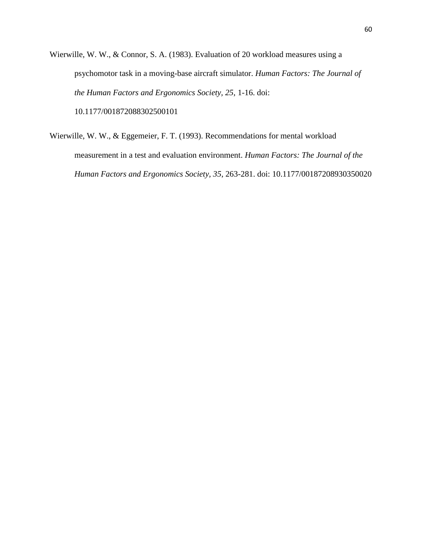Wierwille, W. W., & Connor, S. A. (1983). Evaluation of 20 workload measures using a psychomotor task in a moving-base aircraft simulator. *Human Factors: The Journal of the Human Factors and Ergonomics Society, 25*, 1-16. doi: 10.1177/001872088302500101

Wierwille, W. W., & Eggemeier, F. T. (1993). Recommendations for mental workload measurement in a test and evaluation environment. *Human Factors: The Journal of the Human Factors and Ergonomics Society, 35*, 263-281. doi: 10.1177/00187208930350020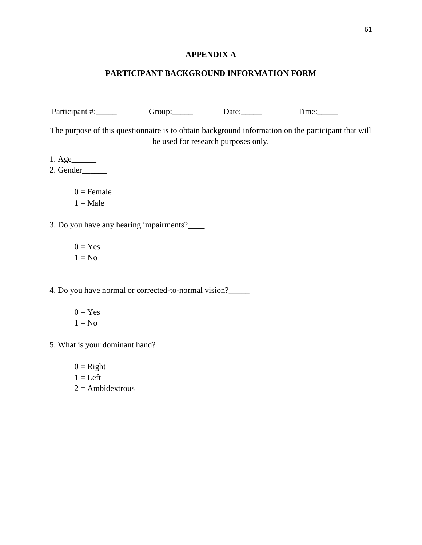# **APPENDIX A**

# **PARTICIPANT BACKGROUND INFORMATION FORM**

| Participant #:                                       | Group: Date:                        | Time:                                                                                              |
|------------------------------------------------------|-------------------------------------|----------------------------------------------------------------------------------------------------|
|                                                      | be used for research purposes only. | The purpose of this questionnaire is to obtain background information on the participant that will |
| $1. \text{Age}\_\_\_\_\_\$                           |                                     |                                                                                                    |
| 2. Gender                                            |                                     |                                                                                                    |
| $0 =$ Female                                         |                                     |                                                                                                    |
| $1 = Male$                                           |                                     |                                                                                                    |
| 3. Do you have any hearing impairments?_____         |                                     |                                                                                                    |
| $0 = Yes$                                            |                                     |                                                                                                    |
| $1 = No$                                             |                                     |                                                                                                    |
| 4. Do you have normal or corrected-to-normal vision? |                                     |                                                                                                    |
| $0 = Yes$                                            |                                     |                                                                                                    |
| $1 = No$                                             |                                     |                                                                                                    |
| 5. What is your dominant hand?                       |                                     |                                                                                                    |
| $0 =$ Right                                          |                                     |                                                                                                    |
| $1 = Left$                                           |                                     |                                                                                                    |
| $2 =$ Ambidextrous                                   |                                     |                                                                                                    |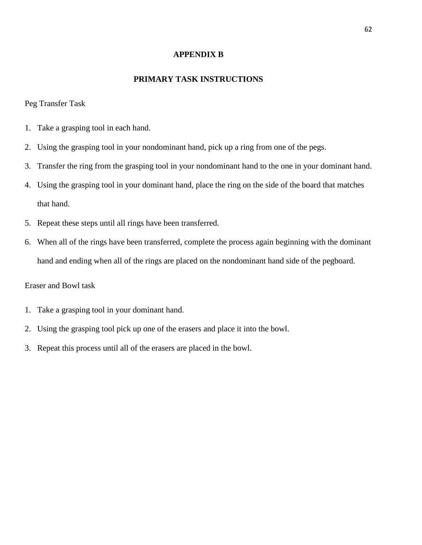#### **APPENDIX B**

#### **PRIMARY TASK INSTRUCTIONS**

#### Peg Transfer Task

- 1. Take a grasping tool in each hand.
- 2. Using the grasping tool in your nondominant hand, pick up a ring from one of the pegs.
- 3. Transfer the ring from the grasping tool in your nondominant hand to the one in your dominant hand.
- 4. Using the grasping tool in your dominant hand, place the ring on the side of the board that matches that hand.
- 5. Repeat these steps until all rings have been transferred.
- 6. When all of the rings have been transferred, complete the process again beginning with the dominant hand and ending when all of the rings are placed on the nondominant hand side of the pegboard.

# Eraser and Bowl task

- 1. Take a grasping tool in your dominant hand.
- 2. Using the grasping tool pick up one of the erasers and place it into the bowl.
- 3. Repeat this process until all of the erasers are placed in the bowl.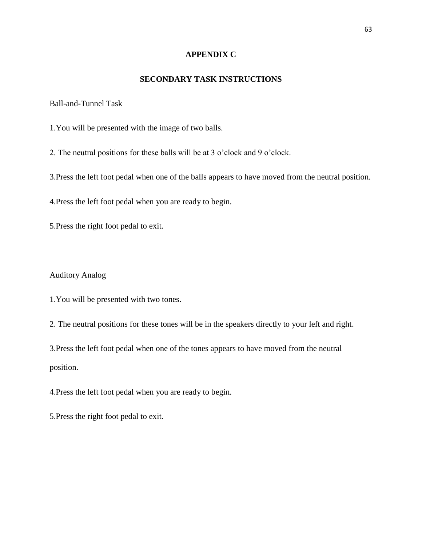## **APPENDIX C**

## **SECONDARY TASK INSTRUCTIONS**

Ball-and-Tunnel Task

1.You will be presented with the image of two balls.

2. The neutral positions for these balls will be at 3 o'clock and 9 o'clock.

3.Press the left foot pedal when one of the balls appears to have moved from the neutral position.

4.Press the left foot pedal when you are ready to begin.

5.Press the right foot pedal to exit.

### Auditory Analog

1.You will be presented with two tones.

2. The neutral positions for these tones will be in the speakers directly to your left and right.

3.Press the left foot pedal when one of the tones appears to have moved from the neutral position.

4.Press the left foot pedal when you are ready to begin.

5.Press the right foot pedal to exit.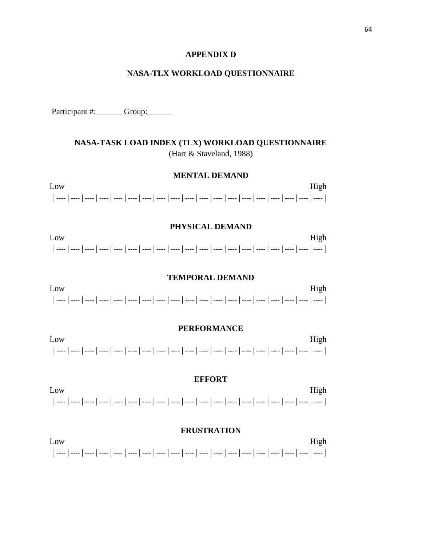#### **APPENDIX D**

## **NASA-TLX WORKLOAD QUESTIONNAIRE**

Participant #:\_\_\_\_\_\_\_\_\_\_ Group:\_\_\_\_\_\_\_\_

# NASA-TASK LOAD INDEX (TLX) WORKLOAD QUESTIONNAIRE (Hart & Staveland, 1988)

## **MENTAL DEMAND**

Low High 

#### PHYSICAL DEMAND

Low High [[ ---- | ---- | ---- | ---- | ---- | ---- | ---- | ---- | ---- | ---- | ---- | ---- | ---- | ---- | ---- | ---- | ---- | ---- |

#### **TEMPORAL DEMAND**

Low High 

#### **PERFORMANCE**

Low High . | ---- | ---- | ---- | ---- | ---- | ---- | ---- | ---- | ---- | ---- | ---- | ---- | ---- | ---- | ---- | ---- | ---- |

#### **EFFORT**

Low High 

## **FRUSTRATION**

Low High